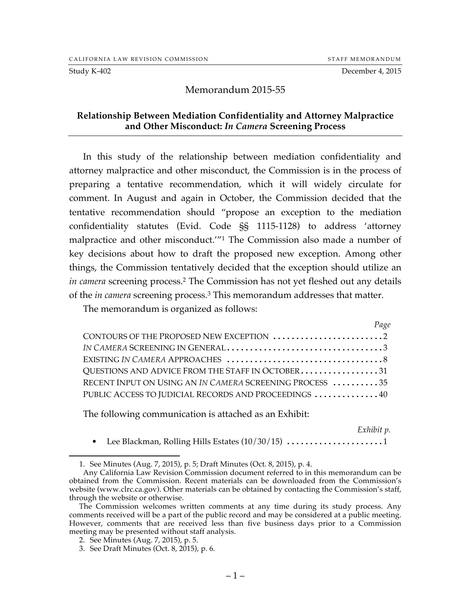Study K-402 December 4, 2015

#### Memorandum 2015-55

#### **Relationship Between Mediation Confidentiality and Attorney Malpractice and Other Misconduct:** *In Camera* **Screening Process**

In this study of the relationship between mediation confidentiality and attorney malpractice and other misconduct, the Commission is in the process of preparing a tentative recommendation, which it will widely circulate for comment. In August and again in October, the Commission decided that the tentative recommendation should "propose an exception to the mediation confidentiality statutes (Evid. Code §§ 1115-1128) to address 'attorney malpractice and other misconduct.'"1 The Commission also made a number of key decisions about how to draft the proposed new exception. Among other things, the Commission tentatively decided that the exception should utilize an *in camera* screening process.2 The Commission has not yet fleshed out any details of the *in camera* screening process.3 This memorandum addresses that matter.

The memorandum is organized as follows:

|                                                         | Page |
|---------------------------------------------------------|------|
|                                                         |      |
|                                                         |      |
|                                                         |      |
| QUESTIONS AND ADVICE FROM THE STAFF IN OCTOBER. 31      |      |
| RECENT INPUT ON USING AN IN CAMERA SCREENING PROCESS 35 |      |
| PUBLIC ACCESS TO JUDICIAL RECORDS AND PROCEEDINGS  40   |      |

The following communication is attached as an Exhibit:

*Exhibit p.*

Lee Blackman, Rolling Hills Estates (10/30/15) ............................1

 <sup>1.</sup> See Minutes (Aug. 7, 2015), p. 5; Draft Minutes (Oct. 8, 2015), p. 4.

Any California Law Revision Commission document referred to in this memorandum can be obtained from the Commission. Recent materials can be downloaded from the Commission's website (www.clrc.ca.gov). Other materials can be obtained by contacting the Commission's staff, through the website or otherwise.

The Commission welcomes written comments at any time during its study process. Any comments received will be a part of the public record and may be considered at a public meeting. However, comments that are received less than five business days prior to a Commission meeting may be presented without staff analysis.

<sup>2.</sup> See Minutes (Aug. 7, 2015), p. 5.

<sup>3.</sup> See Draft Minutes (Oct. 8, 2015), p. 6.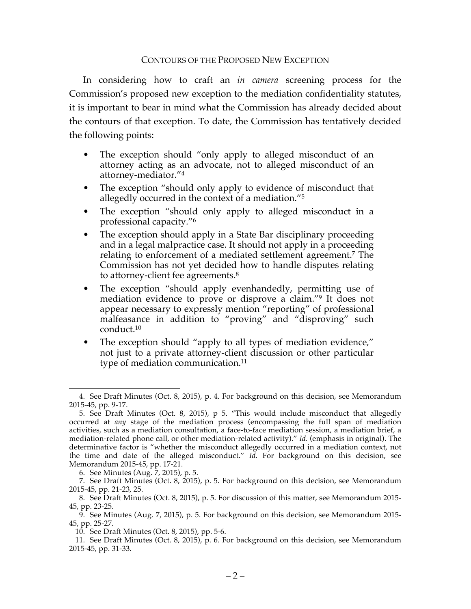#### CONTOURS OF THE PROPOSED NEW EXCEPTION

In considering how to craft an *in camera* screening process for the Commission's proposed new exception to the mediation confidentiality statutes, it is important to bear in mind what the Commission has already decided about the contours of that exception. To date, the Commission has tentatively decided the following points:

- The exception should "only apply to alleged misconduct of an attorney acting as an advocate, not to alleged misconduct of an attorney-mediator."4
- The exception "should only apply to evidence of misconduct that allegedly occurred in the context of a mediation."5
- The exception "should only apply to alleged misconduct in a professional capacity."6
- The exception should apply in a State Bar disciplinary proceeding and in a legal malpractice case. It should not apply in a proceeding relating to enforcement of a mediated settlement agreement.7 The Commission has not yet decided how to handle disputes relating to attorney-client fee agreements.8
- The exception "should apply evenhandedly, permitting use of mediation evidence to prove or disprove a claim."9 It does not appear necessary to expressly mention "reporting" of professional malfeasance in addition to "proving" and "disproving" such conduct.10
- The exception should "apply to all types of mediation evidence," not just to a private attorney-client discussion or other particular type of mediation communication.11

6. See Minutes (Aug. 7, 2015), p. 5.

 <sup>4.</sup> See Draft Minutes (Oct. 8, 2015), p. 4. For background on this decision, see Memorandum 2015-45, pp. 9-17.

<sup>5.</sup> See Draft Minutes (Oct. 8, 2015), p 5. "This would include misconduct that allegedly occurred at *any* stage of the mediation process (encompassing the full span of mediation activities, such as a mediation consultation, a face-to-face mediation session, a mediation brief, a mediation-related phone call, or other mediation-related activity)." *Id.* (emphasis in original). The determinative factor is "whether the misconduct allegedly occurred in a mediation context, not the time and date of the alleged misconduct." *Id.* For background on this decision, see Memorandum 2015-45, pp. 17-21.

<sup>7.</sup> See Draft Minutes (Oct. 8, 2015), p. 5. For background on this decision, see Memorandum 2015-45, pp. 21-23, 25.

<sup>8.</sup> See Draft Minutes (Oct. 8, 2015), p. 5. For discussion of this matter, see Memorandum 2015- 45, pp. 23-25.

<sup>9.</sup> See Minutes (Aug. 7, 2015), p. 5. For background on this decision, see Memorandum 2015- 45, pp. 25-27.

<sup>10.</sup> See Draft Minutes (Oct. 8, 2015), pp. 5-6.

<sup>11.</sup> See Draft Minutes (Oct. 8, 2015), p. 6. For background on this decision, see Memorandum 2015-45, pp. 31-33.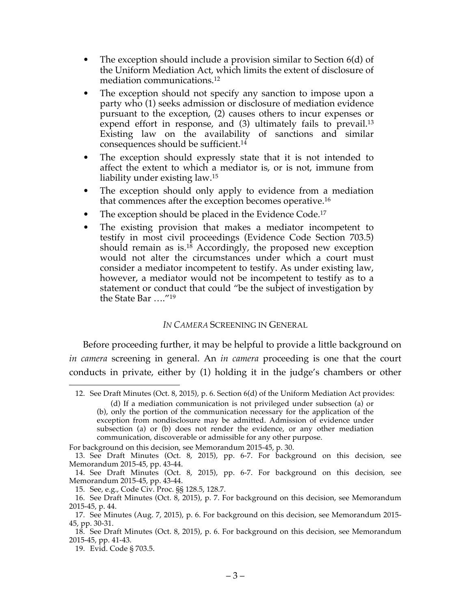- The exception should include a provision similar to Section 6(d) of the Uniform Mediation Act, which limits the extent of disclosure of mediation communications.12
- The exception should not specify any sanction to impose upon a party who (1) seeks admission or disclosure of mediation evidence pursuant to the exception, (2) causes others to incur expenses or expend effort in response, and (3) ultimately fails to prevail.<sup>13</sup> Existing law on the availability of sanctions and similar consequences should be sufficient.14
- The exception should expressly state that it is not intended to affect the extent to which a mediator is, or is not, immune from liability under existing law.15
- The exception should only apply to evidence from a mediation that commences after the exception becomes operative.16
- The exception should be placed in the Evidence Code.<sup>17</sup>
- The existing provision that makes a mediator incompetent to testify in most civil proceedings (Evidence Code Section 703.5) should remain as is. $18$  Accordingly, the proposed new exception would not alter the circumstances under which a court must consider a mediator incompetent to testify. As under existing law, however, a mediator would not be incompetent to testify as to a statement or conduct that could "be the subject of investigation by the State Bar ....<sup>"19</sup>

#### *IN CAMERA* SCREENING IN GENERAL

Before proceeding further, it may be helpful to provide a little background on *in camera* screening in general. An *in camera* proceeding is one that the court conducts in private, either by (1) holding it in the judge's chambers or other

 <sup>12.</sup> See Draft Minutes (Oct. 8, 2015), p. 6. Section 6(d) of the Uniform Mediation Act provides: (d) If a mediation communication is not privileged under subsection (a) or

<sup>(</sup>b), only the portion of the communication necessary for the application of the exception from nondisclosure may be admitted. Admission of evidence under subsection (a) or (b) does not render the evidence, or any other mediation communication, discoverable or admissible for any other purpose.

For background on this decision, see Memorandum 2015-45, p. 30.

<sup>13.</sup> See Draft Minutes (Oct. 8, 2015), pp. 6-7. For background on this decision, see Memorandum 2015-45, pp. 43-44.

<sup>14.</sup> See Draft Minutes (Oct. 8, 2015), pp. 6-7. For background on this decision, see Memorandum 2015-45, pp. 43-44.

<sup>15.</sup> See, e.g., Code Civ. Proc. §§ 128.5, 128.7.

<sup>16.</sup> See Draft Minutes (Oct. 8, 2015), p. 7. For background on this decision, see Memorandum 2015-45, p. 44.

<sup>17.</sup> See Minutes (Aug. 7, 2015), p. 6. For background on this decision, see Memorandum 2015- 45, pp. 30-31.

<sup>18.</sup> See Draft Minutes (Oct. 8, 2015), p. 6. For background on this decision, see Memorandum 2015-45, pp. 41-43.

<sup>19.</sup> Evid. Code § 703.5.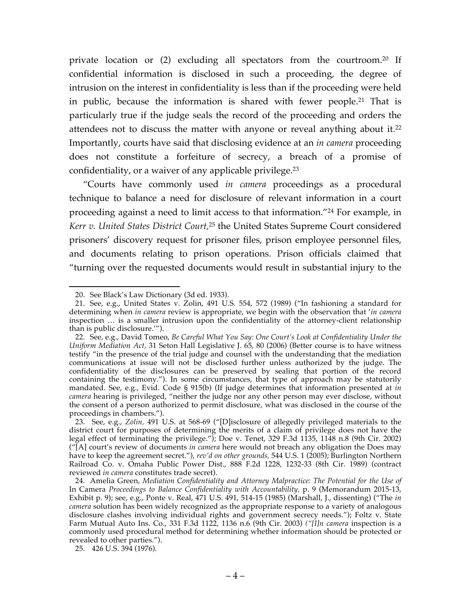private location or (2) excluding all spectators from the courtroom.20 If confidential information is disclosed in such a proceeding, the degree of intrusion on the interest in confidentiality is less than if the proceeding were held in public, because the information is shared with fewer people.21 That is particularly true if the judge seals the record of the proceeding and orders the attendees not to discuss the matter with anyone or reveal anything about it.22 Importantly, courts have said that disclosing evidence at an *in camera* proceeding does not constitute a forfeiture of secrecy, a breach of a promise of confidentiality, or a waiver of any applicable privilege.23

"Courts have commonly used *in camera* proceedings as a procedural technique to balance a need for disclosure of relevant information in a court proceeding against a need to limit access to that information."24 For example, in *Kerr v. United States District Court,* <sup>25</sup> the United States Supreme Court considered prisoners' discovery request for prisoner files, prison employee personnel files, and documents relating to prison operations. Prison officials claimed that "turning over the requested documents would result in substantial injury to the

 <sup>20.</sup> See Black's Law Dictionary (3d ed. 1933).

<sup>21.</sup> See, e.g., United States v. Zolin, 491 U.S. 554, 572 (1989) ("In fashioning a standard for determining when *in camera* review is appropriate, we begin with the observation that '*in camera*  inspection … is a smaller intrusion upon the confidentiality of the attorney-client relationship than is public disclosure.'").

<sup>22.</sup> See, e.g., David Tomeo, *Be Careful What You Say: One Court's Look at Confidentiality Under the Uniform Mediation Act,* 31 Seton Hall Legislative J. 65, 80 (2006) (Better course is to have witness testify "in the presence of the trial judge and counsel with the understanding that the mediation communications at issue will not be disclosed further unless authorized by the judge. The confidentiality of the disclosures can be preserved by sealing that portion of the record containing the testimony."). In some circumstances, that type of approach may be statutorily mandated. See, e.g., Evid. Code § 915(b) (If judge determines that information presented at *in camera* hearing is privileged, "neither the judge nor any other person may ever disclose, without the consent of a person authorized to permit disclosure, what was disclosed in the course of the proceedings in chambers.").

<sup>23.</sup> See, e.g., *Zolin,* 491 U.S. at 568-69 ("[D]isclosure of allegedly privileged materials to the district court for purposes of determining the merits of a claim of privilege does not have the legal effect of terminating the privilege."); Doe v. Tenet, 329 F.3d 1135, 1148 n.8 (9th Cir. 2002) ("[A] court's review of documents *in camera* here would not breach any obligation the Does may have to keep the agreement secret."), *rev'd on other grounds,* 544 U.S. 1 (2005); Burlington Northern Railroad Co. v. Omaha Public Power Dist., 888 F.2d 1228, 1232-33 (8th Cir. 1989) (contract reviewed *in camera* constitutes trade secret).

<sup>24.</sup> Amelia Green, *Mediation Confidentiality and Attorney Malpractice: The Potential for the Use of*  In Camera *Proceedings to Balance Confidentiality with Accountability,* p. 9 (Memorandum 2015-13, Exhibit p. 9); see, e.g., Ponte v. Real, 471 U.S. 491, 514-15 (1985) (Marshall, J., dissenting) ("The *in camera* solution has been widely recognized as the appropriate response to a variety of analogous disclosure clashes involving individual rights and government secrecy needs."); Foltz v. State Farm Mutual Auto Ins. Co., 331 F.3d 1122, 1136 n.6 (9th Cir. 2003) *("[I]n camera* inspection is a commonly used procedural method for determining whether information should be protected or revealed to other parties.").

<sup>25.</sup> 426 U.S. 394 (1976).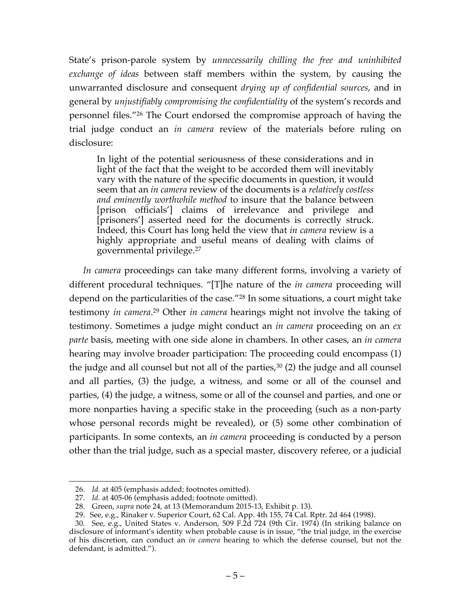State's prison-parole system by *unnecessarily chilling the free and uninhibited exchange of ideas* between staff members within the system, by causing the unwarranted disclosure and consequent *drying up of confidential sources*, and in general by *unjustifiably compromising the confidentiality* of the system's records and personnel files."26 The Court endorsed the compromise approach of having the trial judge conduct an *in camera* review of the materials before ruling on disclosure:

In light of the potential seriousness of these considerations and in light of the fact that the weight to be accorded them will inevitably vary with the nature of the specific documents in question, it would seem that an *in camera* review of the documents is a *relatively costless and eminently worthwhile method* to insure that the balance between [prison officials'] claims of irrelevance and privilege and [prisoners'] asserted need for the documents is correctly struck. Indeed, this Court has long held the view that *in camera* review is a highly appropriate and useful means of dealing with claims of governmental privilege.27

*In camera* proceedings can take many different forms, involving a variety of different procedural techniques. "[T]he nature of the *in camera* proceeding will depend on the particularities of the case."28 In some situations, a court might take testimony *in camera*. <sup>29</sup> Other *in camera* hearings might not involve the taking of testimony. Sometimes a judge might conduct an *in camera* proceeding on an *ex parte* basis, meeting with one side alone in chambers. In other cases, an *in camera* hearing may involve broader participation: The proceeding could encompass (1) the judge and all counsel but not all of the parties, <sup>30</sup> (2) the judge and all counsel and all parties, (3) the judge, a witness, and some or all of the counsel and parties, (4) the judge, a witness, some or all of the counsel and parties, and one or more nonparties having a specific stake in the proceeding (such as a non-party whose personal records might be revealed), or (5) some other combination of participants. In some contexts, an *in camera* proceeding is conducted by a person other than the trial judge, such as a special master, discovery referee, or a judicial

 <sup>26.</sup> *Id.* at 405 (emphasis added; footnotes omitted).

<sup>27.</sup> *Id.* at 405-06 (emphasis added; footnote omitted).

<sup>28.</sup> Green, *supra* note 24, at 13 (Memorandum 2015-13, Exhibit p. 13).

<sup>29.</sup> See, e.g., Rinaker v. Superior Court, 62 Cal. App. 4th 155, 74 Cal. Rptr. 2d 464 (1998).

<sup>30.</sup> See, e.g., United States v. Anderson, 509 F.2d 724 (9th Cir. 1974) (In striking balance on disclosure of informant's identity when probable cause is in issue, "the trial judge, in the exercise of his discretion, can conduct an *in camera* hearing to which the defense counsel, but not the defendant, is admitted.").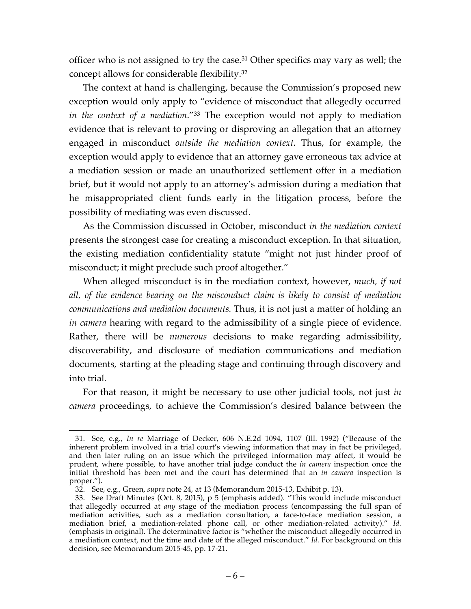officer who is not assigned to try the case.31 Other specifics may vary as well; the concept allows for considerable flexibility.32

The context at hand is challenging, because the Commission's proposed new exception would only apply to "evidence of misconduct that allegedly occurred *in the context of a mediation*."33 The exception would not apply to mediation evidence that is relevant to proving or disproving an allegation that an attorney engaged in misconduct *outside the mediation context.* Thus, for example, the exception would apply to evidence that an attorney gave erroneous tax advice at a mediation session or made an unauthorized settlement offer in a mediation brief, but it would not apply to an attorney's admission during a mediation that he misappropriated client funds early in the litigation process, before the possibility of mediating was even discussed.

As the Commission discussed in October, misconduct *in the mediation context* presents the strongest case for creating a misconduct exception. In that situation, the existing mediation confidentiality statute "might not just hinder proof of misconduct; it might preclude such proof altogether."

When alleged misconduct is in the mediation context, however, *much, if not all, of the evidence bearing on the misconduct claim is likely to consist of mediation communications and mediation documents.* Thus, it is not just a matter of holding an *in camera* hearing with regard to the admissibility of a single piece of evidence. Rather, there will be *numerous* decisions to make regarding admissibility, discoverability, and disclosure of mediation communications and mediation documents, starting at the pleading stage and continuing through discovery and into trial.

For that reason, it might be necessary to use other judicial tools, not just *in camera* proceedings, to achieve the Commission's desired balance between the

 <sup>31.</sup> See, e.g., *In re* Marriage of Decker, 606 N.E.2d 1094, 1107 (Ill. 1992) ("Because of the inherent problem involved in a trial court's viewing information that may in fact be privileged, and then later ruling on an issue which the privileged information may affect, it would be prudent, where possible, to have another trial judge conduct the *in camera* inspection once the initial threshold has been met and the court has determined that an *in camera* inspection is proper.").

<sup>32.</sup> See, e.g., Green, *supra* note 24, at 13 (Memorandum 2015-13, Exhibit p. 13).

<sup>33.</sup> See Draft Minutes (Oct. 8, 2015), p 5 (emphasis added). "This would include misconduct that allegedly occurred at *any* stage of the mediation process (encompassing the full span of mediation activities, such as a mediation consultation, a face-to-face mediation session, a mediation brief, a mediation-related phone call, or other mediation-related activity)." *Id.* (emphasis in original). The determinative factor is "whether the misconduct allegedly occurred in a mediation context, not the time and date of the alleged misconduct." *Id.* For background on this decision, see Memorandum 2015-45, pp. 17-21.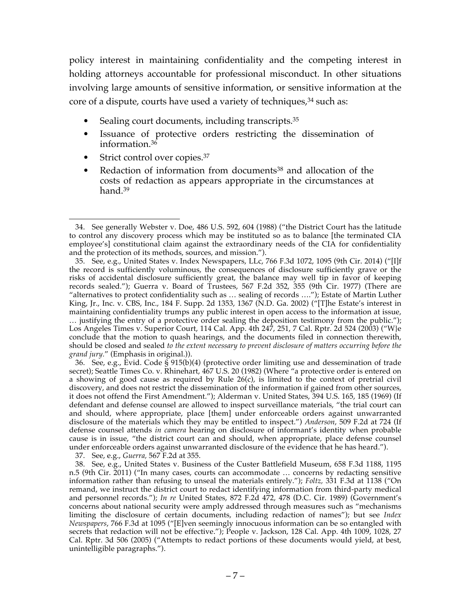policy interest in maintaining confidentiality and the competing interest in holding attorneys accountable for professional misconduct. In other situations involving large amounts of sensitive information, or sensitive information at the core of a dispute, courts have used a variety of techniques, <sup>34</sup> such as:

- Sealing court documents, including transcripts.<sup>35</sup>
- Issuance of protective orders restricting the dissemination of information.36
- Strict control over copies.<sup>37</sup>
- Redaction of information from documents<sup>38</sup> and allocation of the costs of redaction as appears appropriate in the circumstances at hand.39

37. See, e.g., *Guerra,* 567 F.2d at 355.

 <sup>34.</sup> See generally Webster v. Doe, 486 U.S. 592, 604 (1988) ("the District Court has the latitude to control any discovery process which may be instituted so as to balance [the terminated CIA employee's] constitutional claim against the extraordinary needs of the CIA for confidentiality and the protection of its methods, sources, and mission.").

<sup>35.</sup> See, e.g., United States v. Index Newspapers, LLc, 766 F.3d 1072, 1095 (9th Cir. 2014) ("[I]f the record is sufficiently voluminous, the consequences of disclosure sufficiently grave or the risks of accidental disclosure sufficiently great, the balance may well tip in favor of keeping records sealed."); Guerra v. Board of Trustees, 567 F.2d 352, 355 (9th Cir. 1977) (There are "alternatives to protect confidentiality such as … sealing of records …."); Estate of Martin Luther King, Jr., Inc. v. CBS, Inc., 184 F. Supp. 2d 1353, 1367 (N.D. Ga. 2002) ("[T]he Estate's interest in maintaining confidentiality trumps any public interest in open access to the information at issue, … justifying the entry of a protective order sealing the deposition testimony from the public."); Los Angeles Times v. Superior Court, 114 Cal. App. 4th 247, 251, 7 Cal. Rptr. 2d 524 (2003) ("W}e conclude that the motion to quash hearings, and the documents filed in connection therewith, should be closed and sealed *to the extent necessary to prevent disclosure of matters occurring before the grand jury.*" (Emphasis in original.)).

<sup>36.</sup> See, e.g., Evid. Code  $\frac{8}{5}$  915(b)(4) (protective order limiting use and dessemination of trade secret); Seattle Times Co. v. Rhinehart, 467 U.S. 20 (1982) (Where "a protective order is entered on a showing of good cause as required by Rule 26(c), is limited to the context of pretrial civil discovery, and does not restrict the dissemination of the information if gained from other sources, it does not offend the First Amendment."); Alderman v. United States, 394 U.S. 165, 185 (1969) (If defendant and defense counsel are allowed to inspect surveillance materials, "the trial court can and should, where appropriate, place [them] under enforceable orders against unwarranted disclosure of the materials which they may be entitled to inspect.") *Anderson*, 509 F.2d at 724 (If defense counsel attends *in camera* hearing on disclosure of informant's identity when probable cause is in issue, "the district court can and should, when appropriate, place defense counsel under enforceable orders against unwarranted disclosure of the evidence that he has heard.").

<sup>38.</sup> See, e.g., United States v. Business of the Custer Battlefield Museum, 658 F.3d 1188, 1195 n.5 (9th Cir. 2011) ("In many cases, courts can accommodate … concerns by redacting sensitive information rather than refusing to unseal the materials entirely."); *Foltz,* 331 F.3d at 1138 ("On remand, we instruct the district court to redact identifying information from third-party medical and personnel records."); *In re* United States, 872 F.2d 472, 478 (D.C. Cir. 1989) (Government's concerns about national security were amply addressed through measures such as "mechanisms limiting the disclosure of certain documents, including redaction of names"); but see *Index Newspapers*, 766 F.3d at 1095 ("[E]ven seemingly innocuous information can be so entangled with secrets that redaction will not be effective."); People v. Jackson, 128 Cal. App. 4th 1009, 1028, 27 Cal. Rptr. 3d 506 (2005) ("Attempts to redact portions of these documents would yield, at best, unintelligible paragraphs.").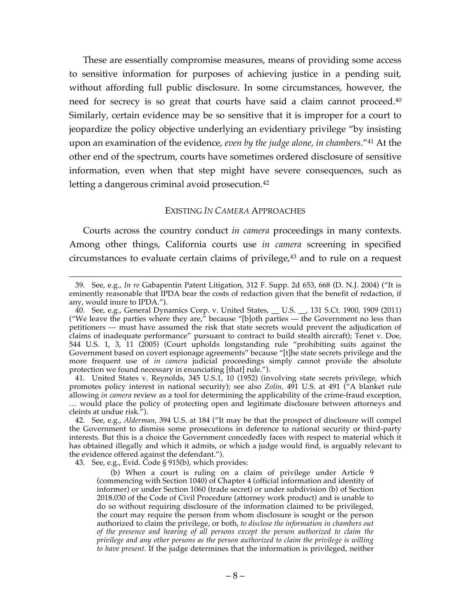These are essentially compromise measures, means of providing some access to sensitive information for purposes of achieving justice in a pending suit, without affording full public disclosure. In some circumstances, however, the need for secrecy is so great that courts have said a claim cannot proceed. 40 Similarly, certain evidence may be so sensitive that it is improper for a court to jeopardize the policy objective underlying an evidentiary privilege "by insisting upon an examination of the evidence, *even by the judge alone, in chambers*."41 At the other end of the spectrum, courts have sometimes ordered disclosure of sensitive information, even when that step might have severe consequences, such as letting a dangerous criminal avoid prosecution. 42

#### EXISTING *IN CAMERA* APPROACHES

Courts across the country conduct *in camera* proceedings in many contexts. Among other things, California courts use *in camera* screening in specified circumstances to evaluate certain claims of privilege, $43$  and to rule on a request

43. See, e.g., Evid. Code § 915(b), which provides:

 <sup>39.</sup> See, e.g., *In re* Gabapentin Patent Litigation, 312 F. Supp. 2d 653, 668 (D. N.J. 2004) ("It is eminently reasonable that IPDA bear the costs of redaction given that the benefit of redaction, if any, would inure to IPDA.").

<sup>40.</sup> See, e.g., General Dynamics Corp. v. United States, \_\_ U.S. \_\_, 131 S.Ct. 1900, 1909 (2011) ("We leave the parties where they are," because "[b]oth parties — the Government no less than petitioners — must have assumed the risk that state secrets would prevent the adjudication of claims of inadequate performance" pursuant to contract to build stealth aircraft); Tenet v. Doe, 544 U.S. 1, 3, 11 (2005) (Court upholds longstanding rule "prohibiting suits against the Government based on covert espionage agreements" because "[t]he state secrets privilege and the more frequent use of *in camera* judicial proceedings simply cannot provide the absolute protection we found necessary in enunciating [that] rule.").

<sup>41.</sup> United States v. Reynolds, 345 U.S.1, 10 (1952) (involving state secrets privilege, which promotes policy interest in national security); see also *Zolin,* 491 U.S. at 491 ("A blanket rule allowing *in camera* review as a tool for determining the applicability of the crime-fraud exception, … would place the policy of protecting open and legitimate disclosure between attorneys and cleints at undue risk.").

<sup>42.</sup> See, e.g., *Alderman*, 394 U.S. at 184 ("It may be that the prospect of disclosure will compel the Government to dismiss some prosecutions in deference to national security or third-party interests. But this is a choice the Government concededly faces with respect to material which it has obtained illegally and which it admits, or which a judge would find, is arguably relevant to the evidence offered against the defendant.").

<sup>(</sup>b) When a court is ruling on a claim of privilege under Article 9 (commencing with Section 1040) of Chapter 4 (official information and identity of informer) or under Section 1060 (trade secret) or under subdivision (b) of Section 2018.030 of the Code of Civil Procedure (attorney work product) and is unable to do so without requiring disclosure of the information claimed to be privileged, the court may require the person from whom disclosure is sought or the person authorized to claim the privilege, or both, *to disclose the information in chambers out of the presence and hearing of all persons except the person authorized to claim the privilege and any other persons as the person authorized to claim the privilege is willing to have present.* If the judge determines that the information is privileged, neither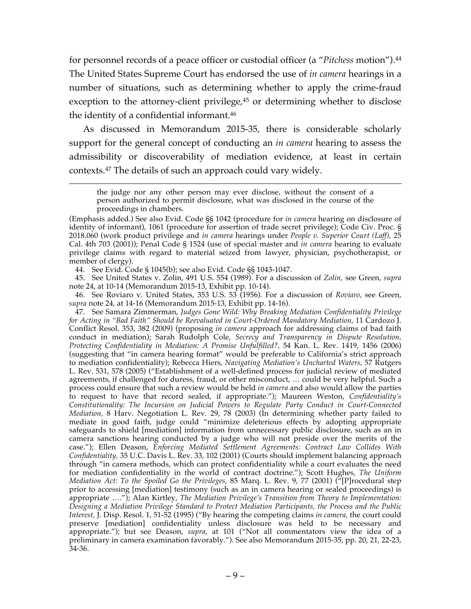for personnel records of a peace officer or custodial officer (a "*Pitchess* motion").44 The United States Supreme Court has endorsed the use of *in camera* hearings in a number of situations, such as determining whether to apply the crime-fraud exception to the attorney-client privilege,<sup>45</sup> or determining whether to disclose the identity of a confidential informant.46

As discussed in Memorandum 2015-35, there is considerable scholarly support for the general concept of conducting an *in camera* hearing to assess the admissibility or discoverability of mediation evidence, at least in certain contexts.47 The details of such an approach could vary widely.

 the judge nor any other person may ever disclose, without the consent of a person authorized to permit disclosure, what was disclosed in the course of the proceedings in chambers.

44. See Evid. Code § 1045(b); see also Evid. Code §§ 1043-1047.

45. See United States v. Zolin, 491 U.S. 554 (1989). For a discussion of *Zolin,* see Green, *supra*  note 24, at 10-14 (Memorandum 2015-13, Exhibit pp. 10-14).

46. See Roviaro v. United States, 353 U.S. 53 (1956). For a discussion of *Roviaro,* see Green, *supra* note 24, at 14-16 (Memorandum 2015-13, Exhibit pp. 14-16).

47. See Samara Zimmerman, *Judges Gone Wild: Why Breaking Mediation Confidentiality Privilege for Acting in "Bad Faith" Should be Reevaluated in Court-Ordered Mandatory Mediation,* 11 Cardozo J. Conflict Resol. 353, 382 (2009) (proposing *in camera* approach for addressing claims of bad faith conduct in mediation); Sarah Rudolph Cole, *Secrecy and Transparency in Dispute Resolution, Protecting Confidentiality in Mediation: A Promise Unfulfilled?,* 54 Kan. L. Rev. 1419, 1456 (2006) (suggesting that "in camera hearing format" would be preferable to California's strict approach to mediation confidentiality); Rebecca Hiers, *Navigating Mediation's Uncharted Waters,* 57 Rutgers L. Rev. 531, 578 (2005) ("Establishment of a well-defined process for judicial review of mediated agreements, if challenged for duress, fraud, or other misconduct, … could be very helpful. Such a process could ensure that such a review would be held *in camera* and also would allow the parties to request to have that record sealed, if appropriate."); Maureen Weston, *Confidentiality's Constitutionality: The Incursion on Judicial Powers to Regulate Party Conduct in Court-Connected Mediation,* 8 Harv. Negotiation L. Rev. 29, 78 (2003) (In determining whether party failed to mediate in good faith, judge could "minimize deleterious effects by adopting appropriate safeguards to shield [mediation] information from unnecessary public disclosure, such as an in camera sanctions hearing conducted by a judge who will not preside over the merits of the case."); Ellen Deason, *Enforcing Mediated Settlement Agreements: Contract Law Collides With Confidentiality,* 35 U.C. Davis L. Rev. 33, 102 (2001) (Courts should implement balancing approach through "in camera methods, which can protect confidentiality while a court evaluates the need for mediation confidentiality in the world of contract doctrine."); Scott Hughes, *The Uniform Mediation Act: To the Spoiled Go the Privileges,* 85 Marq. L. Rev. 9, 77 (2001) ("[P]rocedural step prior to accessing [mediation] testimony (such as an in camera hearing or sealed proceedings) is appropriate …."); Alan Kirtley, *The Mediation Privilege's Transition from Theory to Implementation: Designing a Mediation Privilege Standard to Protect Mediation Participants, the Process and the Public Interest,* J. Disp. Resol. 1, 51-52 (1995) ("By hearing the competing claims *in camera,* the court could preserve [mediation] confidentiality unless disclosure was held to be necessary and appropriate."); but see Deason, *supra,* at 101 ("Not all commentators view the idea of a preliminary in camera examination favorably."). See also Memorandum 2015-35, pp. 20, 21, 22-23, 34-36.

<sup>(</sup>Emphasis added.) See also Evid. Code §§ 1042 (procedure for *in camera* hearing on disclosure of identity of informant), 1061 (procedure for assertion of trade secret privilege); Code Civ. Proc. § 2018.060 (work product privilege and *in camera* hearings under *People v. Superior Court (Laff),* 25 Cal. 4th 703 (2001)); Penal Code § 1524 (use of special master and *in camera* hearing to evaluate privilege claims with regard to material seized from lawyer, physician, psychotherapist, or member of clergy).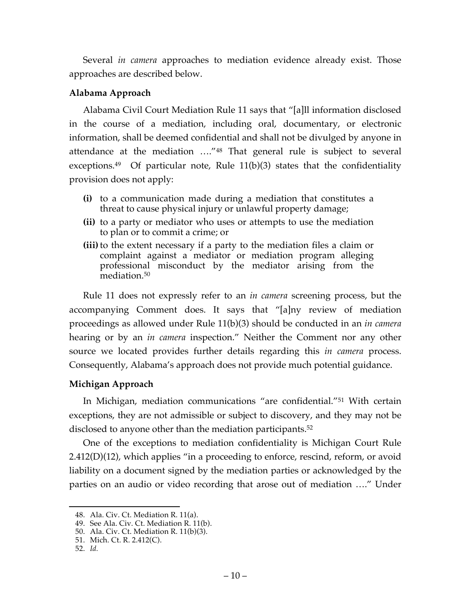Several *in camera* approaches to mediation evidence already exist. Those approaches are described below.

# **Alabama Approach**

Alabama Civil Court Mediation Rule 11 says that "[a]ll information disclosed in the course of a mediation, including oral, documentary, or electronic information, shall be deemed confidential and shall not be divulged by anyone in attendance at the mediation …."48 That general rule is subject to several exceptions.<sup>49</sup> Of particular note, Rule  $11(b)(3)$  states that the confidentiality provision does not apply:

- **(i)** to a communication made during a mediation that constitutes a threat to cause physical injury or unlawful property damage;
- **(ii)** to a party or mediator who uses or attempts to use the mediation to plan or to commit a crime; or
- **(iii)** to the extent necessary if a party to the mediation files a claim or complaint against a mediator or mediation program alleging professional misconduct by the mediator arising from the mediation.<sup>50</sup>

Rule 11 does not expressly refer to an *in camera* screening process, but the accompanying Comment does. It says that "[a]ny review of mediation proceedings as allowed under Rule 11(b)(3) should be conducted in an *in camera* hearing or by an *in camera* inspection." Neither the Comment nor any other source we located provides further details regarding this *in camera* process. Consequently, Alabama's approach does not provide much potential guidance.

# **Michigan Approach**

In Michigan, mediation communications "are confidential."51 With certain exceptions, they are not admissible or subject to discovery, and they may not be disclosed to anyone other than the mediation participants.<sup>52</sup>

One of the exceptions to mediation confidentiality is Michigan Court Rule 2.412(D)(12), which applies "in a proceeding to enforce, rescind, reform, or avoid liability on a document signed by the mediation parties or acknowledged by the parties on an audio or video recording that arose out of mediation …." Under

 <sup>48.</sup> Ala. Civ. Ct. Mediation R. 11(a).

<sup>49.</sup> See Ala. Civ. Ct. Mediation R. 11(b).

<sup>50.</sup> Ala. Civ. Ct. Mediation R. 11(b)(3).

<sup>51.</sup> Mich. Ct. R. 2.412(C).

<sup>52.</sup> *Id.*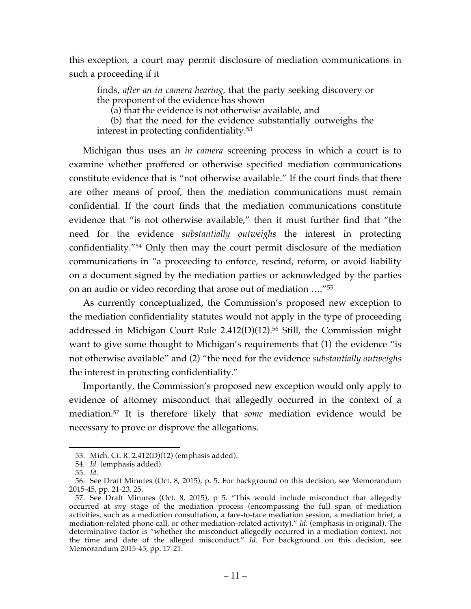this exception, a court may permit disclosure of mediation communications in such a proceeding if it

finds, *after an in camera hearing,* that the party seeking discovery or the proponent of the evidence has shown

(a) that the evidence is not otherwise available, and

(b) that the need for the evidence substantially outweighs the interest in protecting confidentiality.53

Michigan thus uses an *in camera* screening process in which a court is to examine whether proffered or otherwise specified mediation communications constitute evidence that is "not otherwise available." If the court finds that there are other means of proof, then the mediation communications must remain confidential. If the court finds that the mediation communications constitute evidence that "is not otherwise available," then it must further find that "the need for the evidence *substantially outweighs* the interest in protecting confidentiality."54 Only then may the court permit disclosure of the mediation communications in "a proceeding to enforce, rescind, reform, or avoid liability on a document signed by the mediation parties or acknowledged by the parties on an audio or video recording that arose out of mediation …."55

As currently conceptualized, the Commission's proposed new exception to the mediation confidentiality statutes would not apply in the type of proceeding addressed in Michigan Court Rule 2.412(D)(12).<sup>56</sup> Still, the Commission might want to give some thought to Michigan's requirements that (1) the evidence "is not otherwise available" and (2) "the need for the evidence *substantially outweighs* the interest in protecting confidentiality."

Importantly, the Commission's proposed new exception would only apply to evidence of attorney misconduct that allegedly occurred in the context of a mediation.57 It is therefore likely that *some* mediation evidence would be necessary to prove or disprove the allegations.

 <sup>53.</sup> Mich. Ct. R. 2.412(D)(12) (emphasis added).

<sup>54.</sup> *Id.* (emphasis added).

<sup>55.</sup> *Id.*

<sup>56.</sup> See Draft Minutes (Oct. 8, 2015), p. 5. For background on this decision, see Memorandum 2015-45, pp. 21-23, 25.

<sup>57.</sup> See Draft Minutes (Oct. 8, 2015), p 5. "This would include misconduct that allegedly occurred at *any* stage of the mediation process (encompassing the full span of mediation activities, such as a mediation consultation, a face-to-face mediation session, a mediation brief, a mediation-related phone call, or other mediation-related activity)." *Id.* (emphasis in original). The determinative factor is "whether the misconduct allegedly occurred in a mediation context, not the time and date of the alleged misconduct." *Id.* For background on this decision, see Memorandum 2015-45, pp. 17-21.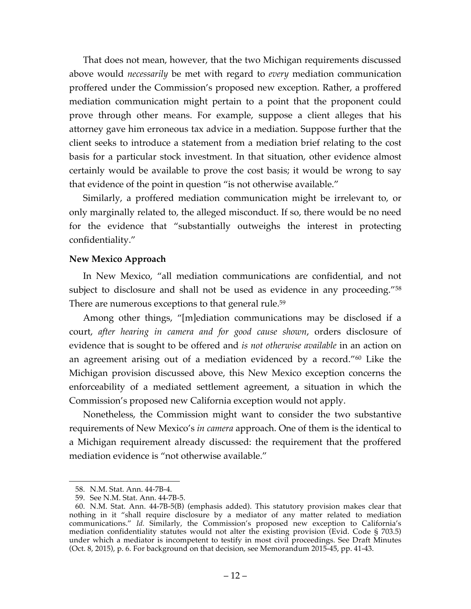That does not mean, however, that the two Michigan requirements discussed above would *necessarily* be met with regard to *every* mediation communication proffered under the Commission's proposed new exception. Rather, a proffered mediation communication might pertain to a point that the proponent could prove through other means. For example, suppose a client alleges that his attorney gave him erroneous tax advice in a mediation. Suppose further that the client seeks to introduce a statement from a mediation brief relating to the cost basis for a particular stock investment. In that situation, other evidence almost certainly would be available to prove the cost basis; it would be wrong to say that evidence of the point in question "is not otherwise available."

Similarly, a proffered mediation communication might be irrelevant to, or only marginally related to, the alleged misconduct. If so, there would be no need for the evidence that "substantially outweighs the interest in protecting confidentiality."

#### **New Mexico Approach**

In New Mexico, "all mediation communications are confidential, and not subject to disclosure and shall not be used as evidence in any proceeding."58 There are numerous exceptions to that general rule.<sup>59</sup>

Among other things, "[m]ediation communications may be disclosed if a court, *after hearing in camera and for good cause shown*, orders disclosure of evidence that is sought to be offered and *is not otherwise available* in an action on an agreement arising out of a mediation evidenced by a record."60 Like the Michigan provision discussed above, this New Mexico exception concerns the enforceability of a mediated settlement agreement, a situation in which the Commission's proposed new California exception would not apply.

Nonetheless, the Commission might want to consider the two substantive requirements of New Mexico's *in camera* approach. One of them is the identical to a Michigan requirement already discussed: the requirement that the proffered mediation evidence is "not otherwise available."

 <sup>58.</sup> N.M. Stat. Ann. 44-7B-4.

<sup>59.</sup> See N.M. Stat. Ann. 44-7B-5.

<sup>60.</sup> N.M. Stat. Ann. 44-7B-5(B) (emphasis added). This statutory provision makes clear that nothing in it "shall require disclosure by a mediator of any matter related to mediation communications." *Id.* Similarly, the Commission's proposed new exception to California's mediation confidentiality statutes would not alter the existing provision (Evid. Code § 703.5) under which a mediator is incompetent to testify in most civil proceedings. See Draft Minutes (Oct. 8, 2015), p. 6. For background on that decision, see Memorandum 2015-45, pp. 41-43.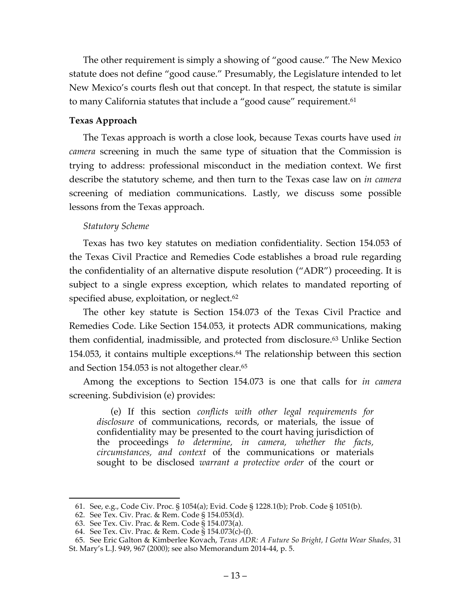The other requirement is simply a showing of "good cause." The New Mexico statute does not define "good cause." Presumably, the Legislature intended to let New Mexico's courts flesh out that concept. In that respect, the statute is similar to many California statutes that include a "good cause" requirement.<sup>61</sup>

# **Texas Approach**

The Texas approach is worth a close look, because Texas courts have used *in camera* screening in much the same type of situation that the Commission is trying to address: professional misconduct in the mediation context. We first describe the statutory scheme, and then turn to the Texas case law on *in camera* screening of mediation communications. Lastly, we discuss some possible lessons from the Texas approach.

# *Statutory Scheme*

Texas has two key statutes on mediation confidentiality. Section 154.053 of the Texas Civil Practice and Remedies Code establishes a broad rule regarding the confidentiality of an alternative dispute resolution ("ADR") proceeding. It is subject to a single express exception, which relates to mandated reporting of specified abuse, exploitation, or neglect.<sup>62</sup>

The other key statute is Section 154.073 of the Texas Civil Practice and Remedies Code. Like Section 154.053, it protects ADR communications, making them confidential, inadmissible, and protected from disclosure.63 Unlike Section 154.053, it contains multiple exceptions.64 The relationship between this section and Section 154.053 is not altogether clear.<sup>65</sup>

Among the exceptions to Section 154.073 is one that calls for *in camera* screening. Subdivision (e) provides:

(e) If this section *conflicts with other legal requirements for disclosure* of communications, records, or materials, the issue of confidentiality may be presented to the court having jurisdiction of the proceedings *to determine, in camera, whether the facts, circumstances, and context* of the communications or materials sought to be disclosed *warrant a protective order* of the court or

 <sup>61.</sup> See, e.g., Code Civ. Proc. § 1054(a); Evid. Code § 1228.1(b); Prob. Code § 1051(b).

<sup>62.</sup> See Tex. Civ. Prac. & Rem. Code § 154.053(d).

<sup>63.</sup> See Tex. Civ. Prac. & Rem. Code § 154.073(a).

<sup>64.</sup> See Tex. Civ. Prac. & Rem. Code § 154.073(c)-(f).

<sup>65.</sup> See Eric Galton & Kimberlee Kovach, *Texas ADR: A Future So Bright, I Gotta Wear Shades,* 31 St. Mary's L.J. 949, 967 (2000); see also Memorandum 2014-44, p. 5.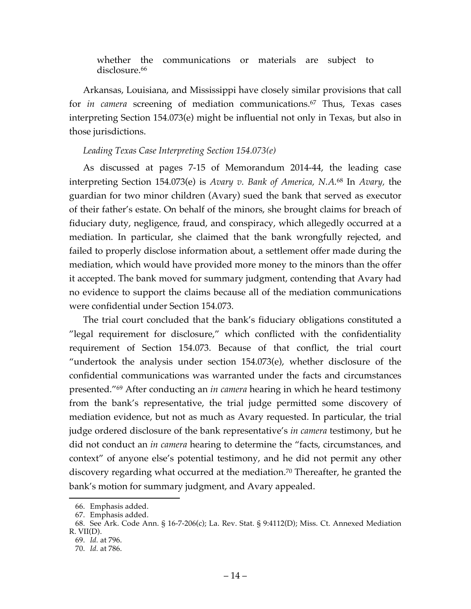whether the communications or materials are subject to disclosure.<sup>66</sup>

Arkansas, Louisiana, and Mississippi have closely similar provisions that call for *in camera* screening of mediation communications.<sup>67</sup> Thus, Texas cases interpreting Section 154.073(e) might be influential not only in Texas, but also in those jurisdictions.

# *Leading Texas Case Interpreting Section 154.073(e)*

As discussed at pages 7-15 of Memorandum 2014-44, the leading case interpreting Section 154.073(e) is *Avary v. Bank of America, N.A.*<sup>68</sup> In *Avary,* the guardian for two minor children (Avary) sued the bank that served as executor of their father's estate. On behalf of the minors, she brought claims for breach of fiduciary duty, negligence, fraud, and conspiracy, which allegedly occurred at a mediation. In particular, she claimed that the bank wrongfully rejected, and failed to properly disclose information about, a settlement offer made during the mediation, which would have provided more money to the minors than the offer it accepted. The bank moved for summary judgment, contending that Avary had no evidence to support the claims because all of the mediation communications were confidential under Section 154.073.

The trial court concluded that the bank's fiduciary obligations constituted a "legal requirement for disclosure," which conflicted with the confidentiality requirement of Section 154.073. Because of that conflict, the trial court "undertook the analysis under section 154.073(e), whether disclosure of the confidential communications was warranted under the facts and circumstances presented."69 After conducting an *in camera* hearing in which he heard testimony from the bank's representative, the trial judge permitted some discovery of mediation evidence, but not as much as Avary requested. In particular, the trial judge ordered disclosure of the bank representative's *in camera* testimony, but he did not conduct an *in camera* hearing to determine the "facts, circumstances, and context" of anyone else's potential testimony, and he did not permit any other discovery regarding what occurred at the mediation.<sup>70</sup> Thereafter, he granted the bank's motion for summary judgment, and Avary appealed.

 <sup>66.</sup> Emphasis added.

<sup>67.</sup> Emphasis added.

<sup>68.</sup> See Ark. Code Ann. § 16-7-206(c); La. Rev. Stat. § 9:4112(D); Miss. Ct. Annexed Mediation R. VII(D).

<sup>69.</sup> *Id.* at 796.

<sup>70.</sup> *Id.* at 786.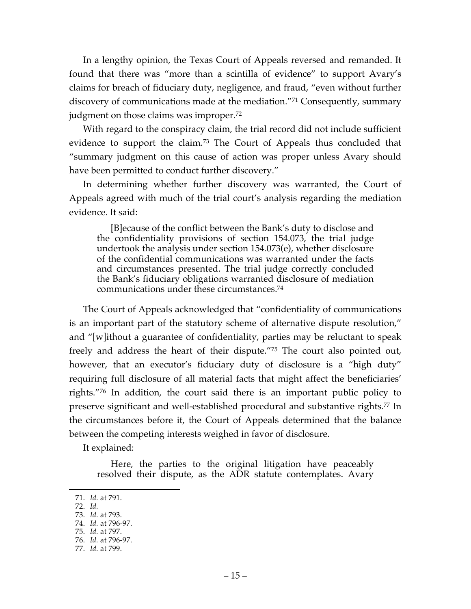In a lengthy opinion, the Texas Court of Appeals reversed and remanded. It found that there was "more than a scintilla of evidence" to support Avary's claims for breach of fiduciary duty, negligence, and fraud, "even without further discovery of communications made at the mediation."71 Consequently, summary judgment on those claims was improper.72

With regard to the conspiracy claim, the trial record did not include sufficient evidence to support the claim.<sup>73</sup> The Court of Appeals thus concluded that "summary judgment on this cause of action was proper unless Avary should have been permitted to conduct further discovery."

In determining whether further discovery was warranted, the Court of Appeals agreed with much of the trial court's analysis regarding the mediation evidence. It said:

[B]ecause of the conflict between the Bank's duty to disclose and the confidentiality provisions of section 154.073, the trial judge undertook the analysis under section 154.073(e), whether disclosure of the confidential communications was warranted under the facts and circumstances presented. The trial judge correctly concluded the Bank's fiduciary obligations warranted disclosure of mediation communications under these circumstances.74

The Court of Appeals acknowledged that "confidentiality of communications is an important part of the statutory scheme of alternative dispute resolution," and "[w]ithout a guarantee of confidentiality, parties may be reluctant to speak freely and address the heart of their dispute."75 The court also pointed out, however, that an executor's fiduciary duty of disclosure is a "high duty" requiring full disclosure of all material facts that might affect the beneficiaries' rights."76 In addition, the court said there is an important public policy to preserve significant and well-established procedural and substantive rights.77 In the circumstances before it, the Court of Appeals determined that the balance between the competing interests weighed in favor of disclosure.

It explained:

Here, the parties to the original litigation have peaceably resolved their dispute, as the ADR statute contemplates. Avary

72. *Id.*

76. *Id.* at 796-97.

 <sup>71.</sup> *Id.* at 791.

<sup>73.</sup> *Id.* at 793.

<sup>74.</sup> *Id.* at 796-97. 75. *Id.* at 797.

<sup>77.</sup> *Id.* at 799.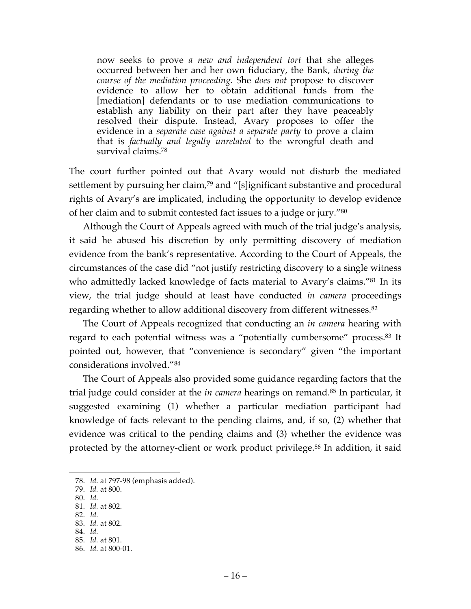now seeks to prove *a new and independent tort* that she alleges occurred between her and her own fiduciary, the Bank, *during the course of the mediation proceeding.* She *does not* propose to discover evidence to allow her to obtain additional funds from the [mediation] defendants or to use mediation communications to establish any liability on their part after they have peaceably resolved their dispute. Instead, Avary proposes to offer the evidence in a *separate case against a separate party* to prove a claim that is *factually and legally unrelated* to the wrongful death and survival claims.78

The court further pointed out that Avary would not disturb the mediated settlement by pursuing her claim,<sup>79</sup> and "[s]ignificant substantive and procedural rights of Avary's are implicated, including the opportunity to develop evidence of her claim and to submit contested fact issues to a judge or jury."80

Although the Court of Appeals agreed with much of the trial judge's analysis, it said he abused his discretion by only permitting discovery of mediation evidence from the bank's representative. According to the Court of Appeals, the circumstances of the case did "not justify restricting discovery to a single witness who admittedly lacked knowledge of facts material to Avary's claims."<sup>81</sup> In its view, the trial judge should at least have conducted *in camera* proceedings regarding whether to allow additional discovery from different witnesses.<sup>82</sup>

The Court of Appeals recognized that conducting an *in camera* hearing with regard to each potential witness was a "potentially cumbersome" process.83 It pointed out, however, that "convenience is secondary" given "the important considerations involved."84

The Court of Appeals also provided some guidance regarding factors that the trial judge could consider at the *in camera* hearings on remand.85 In particular, it suggested examining (1) whether a particular mediation participant had knowledge of facts relevant to the pending claims, and, if so, (2) whether that evidence was critical to the pending claims and (3) whether the evidence was protected by the attorney-client or work product privilege.86 In addition, it said

- 81. *Id.* at 802. 82. *Id.*
- 83. *Id.* at 802.
- 84. *Id.*
- 85. *Id.* at 801.

 <sup>78.</sup> *Id.* at 797-98 (emphasis added).

<sup>79.</sup> *Id.* at 800.

<sup>80.</sup> *Id.*

<sup>86.</sup> *Id.* at 800-01.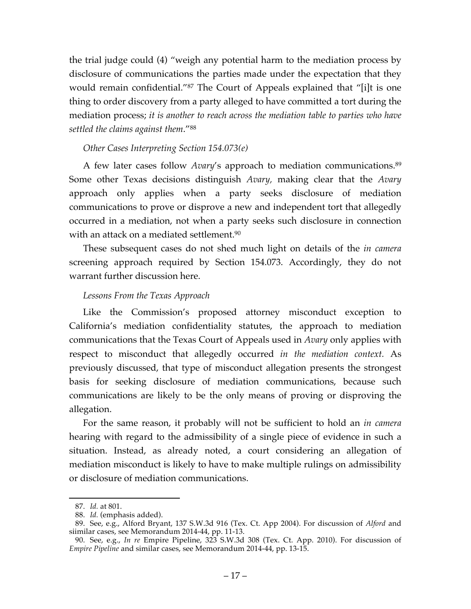the trial judge could (4) "weigh any potential harm to the mediation process by disclosure of communications the parties made under the expectation that they would remain confidential."<sup>87</sup> The Court of Appeals explained that "[i]t is one thing to order discovery from a party alleged to have committed a tort during the mediation process; *it is another to reach across the mediation table to parties who have settled the claims against them*."88

# *Other Cases Interpreting Section 154.073(e)*

A few later cases follow *Avary*'s approach to mediation communications. 89 Some other Texas decisions distinguish *Avary,* making clear that the *Avary*  approach only applies when a party seeks disclosure of mediation communications to prove or disprove a new and independent tort that allegedly occurred in a mediation, not when a party seeks such disclosure in connection with an attack on a mediated settlement.<sup>90</sup>

These subsequent cases do not shed much light on details of the *in camera* screening approach required by Section 154.073. Accordingly, they do not warrant further discussion here.

# *Lessons From the Texas Approach*

Like the Commission's proposed attorney misconduct exception to California's mediation confidentiality statutes, the approach to mediation communications that the Texas Court of Appeals used in *Avary* only applies with respect to misconduct that allegedly occurred *in the mediation context.* As previously discussed, that type of misconduct allegation presents the strongest basis for seeking disclosure of mediation communications, because such communications are likely to be the only means of proving or disproving the allegation.

For the same reason, it probably will not be sufficient to hold an *in camera* hearing with regard to the admissibility of a single piece of evidence in such a situation. Instead, as already noted, a court considering an allegation of mediation misconduct is likely to have to make multiple rulings on admissibility or disclosure of mediation communications.

 <sup>87.</sup> *Id.* at 801.

<sup>88.</sup> *Id.* (emphasis added).

<sup>89.</sup> See, e.g., Alford Bryant, 137 S.W.3d 916 (Tex. Ct. App 2004). For discussion of *Alford* and siimilar cases, see Memorandum 2014-44, pp. 11-13.

<sup>90.</sup> See, e.g., *In re* Empire Pipeline, 323 S.W.3d 308 (Tex. Ct. App. 2010). For discussion of *Empire Pipeline* and similar cases, see Memorandum 2014-44, pp. 13-15.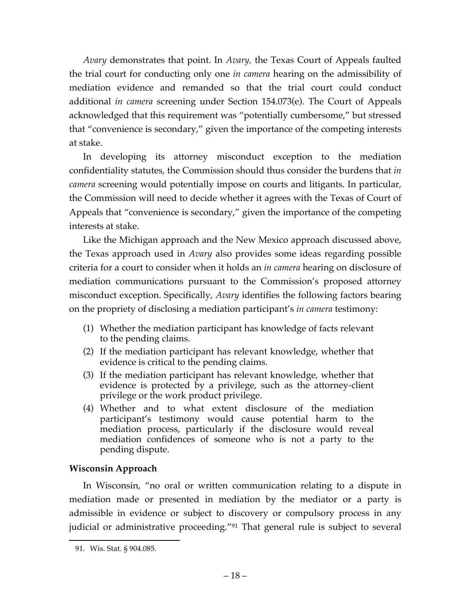*Avary* demonstrates that point. In *Avary,* the Texas Court of Appeals faulted the trial court for conducting only one *in camera* hearing on the admissibility of mediation evidence and remanded so that the trial court could conduct additional *in camera* screening under Section 154.073(e). The Court of Appeals acknowledged that this requirement was "potentially cumbersome," but stressed that "convenience is secondary," given the importance of the competing interests at stake.

In developing its attorney misconduct exception to the mediation confidentiality statutes, the Commission should thus consider the burdens that *in camera* screening would potentially impose on courts and litigants. In particular, the Commission will need to decide whether it agrees with the Texas of Court of Appeals that "convenience is secondary," given the importance of the competing interests at stake.

Like the Michigan approach and the New Mexico approach discussed above, the Texas approach used in *Avary* also provides some ideas regarding possible criteria for a court to consider when it holds an *in camera* hearing on disclosure of mediation communications pursuant to the Commission's proposed attorney misconduct exception. Specifically, *Avary* identifies the following factors bearing on the propriety of disclosing a mediation participant's *in camera* testimony:

- (1) Whether the mediation participant has knowledge of facts relevant to the pending claims.
- (2) If the mediation participant has relevant knowledge, whether that evidence is critical to the pending claims.
- (3) If the mediation participant has relevant knowledge, whether that evidence is protected by a privilege, such as the attorney-client privilege or the work product privilege.
- (4) Whether and to what extent disclosure of the mediation participant's testimony would cause potential harm to the mediation process, particularly if the disclosure would reveal mediation confidences of someone who is not a party to the pending dispute.

# **Wisconsin Approach**

In Wisconsin, "no oral or written communication relating to a dispute in mediation made or presented in mediation by the mediator or a party is admissible in evidence or subject to discovery or compulsory process in any judicial or administrative proceeding."91 That general rule is subject to several

 <sup>91.</sup> Wis. Stat. § 904.085.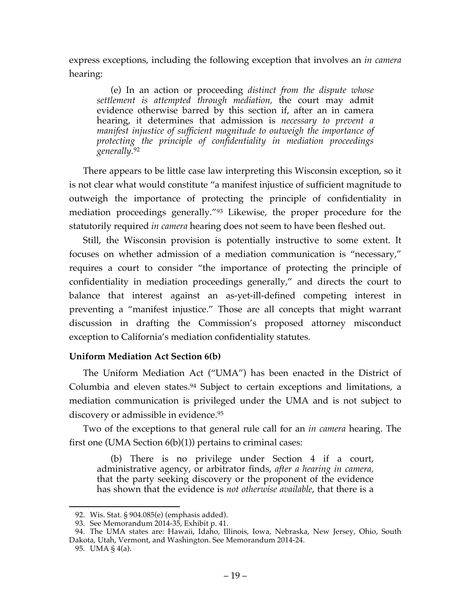express exceptions, including the following exception that involves an *in camera* hearing:

(e) In an action or proceeding *distinct from the dispute whose settlement is attempted through mediation,* the court may admit evidence otherwise barred by this section if, after an in camera hearing, it determines that admission is *necessary to prevent a manifest injustice of sufficient magnitude to outweigh the importance of protecting the principle of confidentiality in mediation proceedings generally.*<sup>92</sup>

There appears to be little case law interpreting this Wisconsin exception, so it is not clear what would constitute "a manifest injustice of sufficient magnitude to outweigh the importance of protecting the principle of confidentiality in mediation proceedings generally."93 Likewise, the proper procedure for the statutorily required *in camera* hearing does not seem to have been fleshed out.

Still, the Wisconsin provision is potentially instructive to some extent. It focuses on whether admission of a mediation communication is "necessary," requires a court to consider "the importance of protecting the principle of confidentiality in mediation proceedings generally," and directs the court to balance that interest against an as-yet-ill-defined competing interest in preventing a "manifest injustice." Those are all concepts that might warrant discussion in drafting the Commission's proposed attorney misconduct exception to California's mediation confidentiality statutes.

# **Uniform Mediation Act Section 6(b)**

The Uniform Mediation Act ("UMA") has been enacted in the District of Columbia and eleven states.<sup>94</sup> Subject to certain exceptions and limitations, a mediation communication is privileged under the UMA and is not subject to discovery or admissible in evidence.<sup>95</sup>

Two of the exceptions to that general rule call for an *in camera* hearing. The first one (UMA Section 6(b)(1)) pertains to criminal cases:

(b) There is no privilege under Section 4 if a court, administrative agency, or arbitrator finds, *after a hearing in camera,* that the party seeking discovery or the proponent of the evidence has shown that the evidence is *not otherwise available*, that there is a

 <sup>92.</sup> Wis. Stat. § 904.085(e) (emphasis added).

<sup>93.</sup> See Memorandum 2014-35, Exhibit p. 41.

<sup>94.</sup> The UMA states are: Hawaii, Idaho, Illinois, Iowa, Nebraska, New Jersey, Ohio, South Dakota, Utah, Vermont, and Washington. See Memorandum 2014-24.

<sup>95.</sup> UMA § 4(a).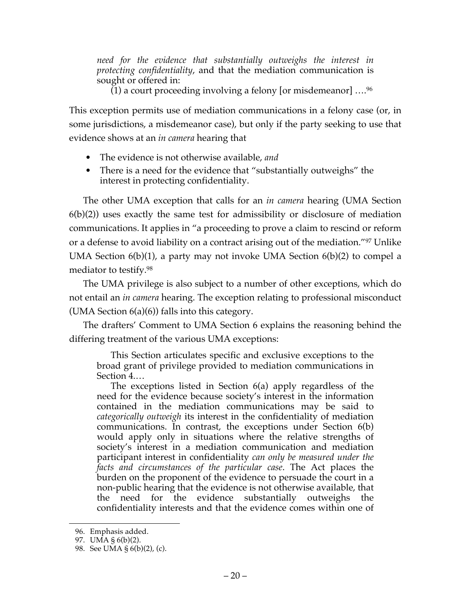*need for the evidence that substantially outweighs the interest in protecting confidentiality*, and that the mediation communication is sought or offered in:

 $(1)$  a court proceeding involving a felony [or misdemeanor] ....<sup>96</sup>

This exception permits use of mediation communications in a felony case (or, in some jurisdictions, a misdemeanor case), but only if the party seeking to use that evidence shows at an *in camera* hearing that

- The evidence is not otherwise available, *and*
- There is a need for the evidence that "substantially outweighs" the interest in protecting confidentiality.

The other UMA exception that calls for an *in camera* hearing (UMA Section  $6(b)(2)$ ) uses exactly the same test for admissibility or disclosure of mediation communications. It applies in "a proceeding to prove a claim to rescind or reform or a defense to avoid liability on a contract arising out of the mediation."97 Unlike UMA Section 6(b)(1), a party may not invoke UMA Section 6(b)(2) to compel a mediator to testify.98

The UMA privilege is also subject to a number of other exceptions, which do not entail an *in camera* hearing. The exception relating to professional misconduct (UMA Section 6(a)(6)) falls into this category.

The drafters' Comment to UMA Section 6 explains the reasoning behind the differing treatment of the various UMA exceptions:

This Section articulates specific and exclusive exceptions to the broad grant of privilege provided to mediation communications in Section 4.…

The exceptions listed in Section 6(a) apply regardless of the need for the evidence because society's interest in the information contained in the mediation communications may be said to *categorically outweigh* its interest in the confidentiality of mediation communications. In contrast, the exceptions under Section 6(b) would apply only in situations where the relative strengths of society's interest in a mediation communication and mediation participant interest in confidentiality *can only be measured under the facts and circumstances of the particular case*. The Act places the burden on the proponent of the evidence to persuade the court in a non-public hearing that the evidence is not otherwise available, that the need for the evidence substantially outweighs the confidentiality interests and that the evidence comes within one of

 <sup>96.</sup> Emphasis added.

<sup>97.</sup> UMA § 6(b)(2).

<sup>98.</sup> See UMA § 6(b)(2), (c).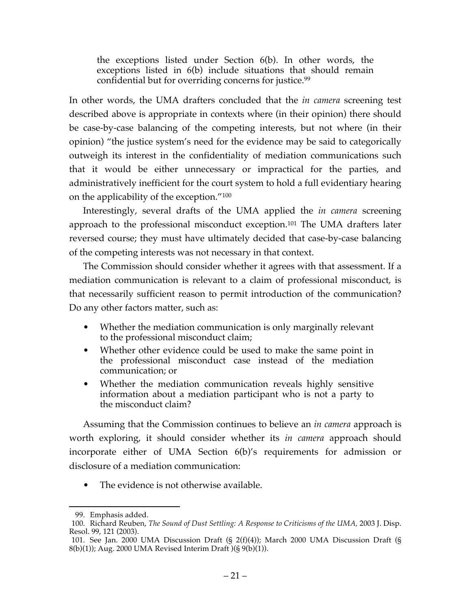the exceptions listed under Section 6(b). In other words, the exceptions listed in 6(b) include situations that should remain confidential but for overriding concerns for justice.<sup>99</sup>

In other words, the UMA drafters concluded that the *in camera* screening test described above is appropriate in contexts where (in their opinion) there should be case-by-case balancing of the competing interests, but not where (in their opinion) "the justice system's need for the evidence may be said to categorically outweigh its interest in the confidentiality of mediation communications such that it would be either unnecessary or impractical for the parties, and administratively inefficient for the court system to hold a full evidentiary hearing on the applicability of the exception."100

Interestingly, several drafts of the UMA applied the *in camera* screening approach to the professional misconduct exception.101 The UMA drafters later reversed course; they must have ultimately decided that case-by-case balancing of the competing interests was not necessary in that context.

The Commission should consider whether it agrees with that assessment. If a mediation communication is relevant to a claim of professional misconduct, is that necessarily sufficient reason to permit introduction of the communication? Do any other factors matter, such as:

- Whether the mediation communication is only marginally relevant to the professional misconduct claim;
- Whether other evidence could be used to make the same point in the professional misconduct case instead of the mediation communication; or
- Whether the mediation communication reveals highly sensitive information about a mediation participant who is not a party to the misconduct claim?

Assuming that the Commission continues to believe an *in camera* approach is worth exploring, it should consider whether its *in camera* approach should incorporate either of UMA Section 6(b)'s requirements for admission or disclosure of a mediation communication:

The evidence is not otherwise available.

 <sup>99.</sup> Emphasis added.

<sup>100.</sup> Richard Reuben, *The Sound of Dust Settling: A Response to Criticisms of the UMA,* 2003 J. Disp. Resol. 99, 121 (2003).

<sup>101.</sup> See Jan. 2000 UMA Discussion Draft (§ 2(f)(4)); March 2000 UMA Discussion Draft (§ 8(b)(1)); Aug. 2000 UMA Revised Interim Draft )(§ 9(b)(1)).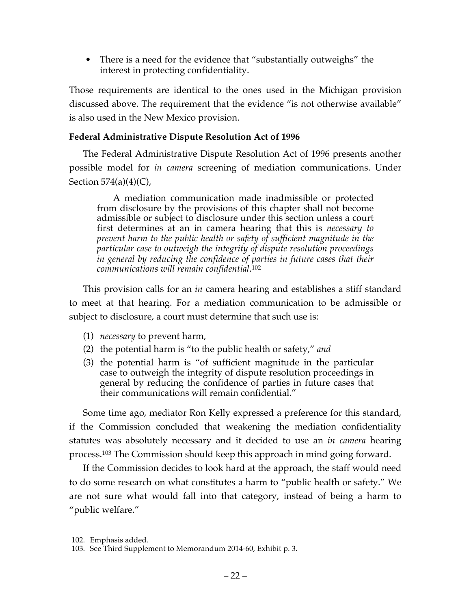• There is a need for the evidence that "substantially outweighs" the interest in protecting confidentiality.

Those requirements are identical to the ones used in the Michigan provision discussed above. The requirement that the evidence "is not otherwise available" is also used in the New Mexico provision.

# **Federal Administrative Dispute Resolution Act of 1996**

The Federal Administrative Dispute Resolution Act of 1996 presents another possible model for *in camera* screening of mediation communications. Under Section  $574(a)(4)(C)$ ,

A mediation communication made inadmissible or protected from disclosure by the provisions of this chapter shall not become admissible or subject to disclosure under this section unless a court first determines at an in camera hearing that this is *necessary to prevent harm to the public health or safety of sufficient magnitude in the particular case to outweigh the integrity of dispute resolution proceedings in general by reducing the confidence of parties in future cases that their communications will remain confidential*. 102

This provision calls for an *in* camera hearing and establishes a stiff standard to meet at that hearing. For a mediation communication to be admissible or subject to disclosure, a court must determine that such use is:

- (1) *necessary* to prevent harm,
- (2) the potential harm is "to the public health or safety," *and*
- (3) the potential harm is "of sufficient magnitude in the particular case to outweigh the integrity of dispute resolution proceedings in general by reducing the confidence of parties in future cases that their communications will remain confidential."

Some time ago, mediator Ron Kelly expressed a preference for this standard, if the Commission concluded that weakening the mediation confidentiality statutes was absolutely necessary and it decided to use an *in camera* hearing process.103 The Commission should keep this approach in mind going forward.

If the Commission decides to look hard at the approach, the staff would need to do some research on what constitutes a harm to "public health or safety." We are not sure what would fall into that category, instead of being a harm to "public welfare."

 <sup>102.</sup> Emphasis added.

<sup>103.</sup> See Third Supplement to Memorandum 2014-60, Exhibit p. 3.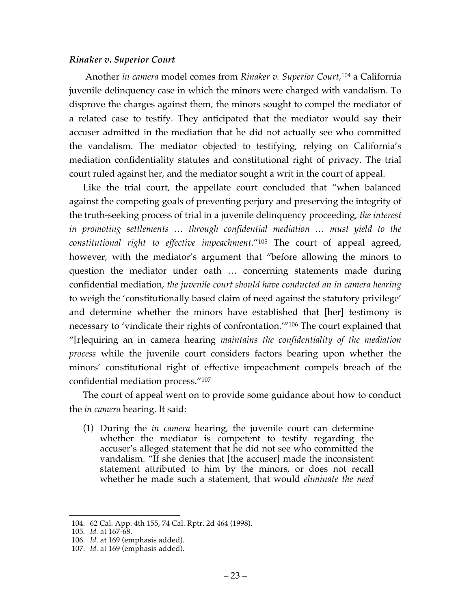#### *Rinaker v. Superior Court*

Another *in camera* model comes from *Rinaker v. Superior Court,* <sup>104</sup> a California juvenile delinquency case in which the minors were charged with vandalism. To disprove the charges against them, the minors sought to compel the mediator of a related case to testify. They anticipated that the mediator would say their accuser admitted in the mediation that he did not actually see who committed the vandalism. The mediator objected to testifying, relying on California's mediation confidentiality statutes and constitutional right of privacy. The trial court ruled against her, and the mediator sought a writ in the court of appeal.

Like the trial court, the appellate court concluded that "when balanced against the competing goals of preventing perjury and preserving the integrity of the truth-seeking process of trial in a juvenile delinquency proceeding, *the interest in promoting settlements … through confidential mediation … must yield to the constitutional right to effective impeachment*."105 The court of appeal agreed, however, with the mediator's argument that "before allowing the minors to question the mediator under oath … concerning statements made during confidential mediation, *the juvenile court should have conducted an in camera hearing* to weigh the 'constitutionally based claim of need against the statutory privilege' and determine whether the minors have established that [her] testimony is necessary to 'vindicate their rights of confrontation.'"106 The court explained that "[r]equiring an in camera hearing *maintains the confidentiality of the mediation process* while the juvenile court considers factors bearing upon whether the minors' constitutional right of effective impeachment compels breach of the confidential mediation process."107

The court of appeal went on to provide some guidance about how to conduct the *in camera* hearing. It said:

(1) During the *in camera* hearing, the juvenile court can determine whether the mediator is competent to testify regarding the accuser's alleged statement that he did not see who committed the vandalism. "If she denies that [the accuser] made the inconsistent statement attributed to him by the minors, or does not recall whether he made such a statement, that would *eliminate the need*

 <sup>104.</sup> 62 Cal. App. 4th 155, 74 Cal. Rptr. 2d 464 (1998).

<sup>105.</sup> *Id.* at 167-68.

<sup>106.</sup> *Id.* at 169 (emphasis added).

<sup>107.</sup> *Id.* at 169 (emphasis added).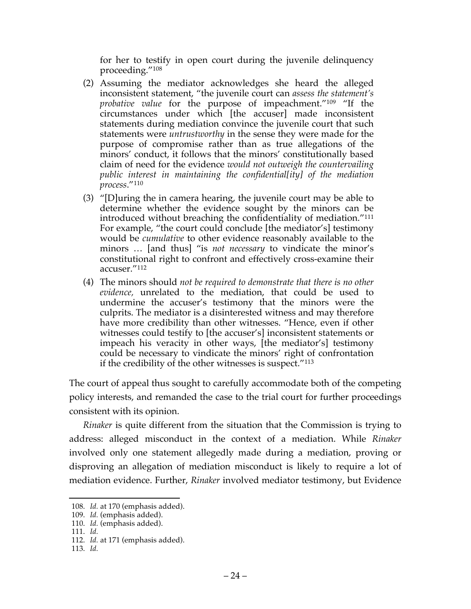for her to testify in open court during the juvenile delinquency proceeding."108

- (2) Assuming the mediator acknowledges she heard the alleged inconsistent statement, "the juvenile court can *assess the statement's probative value* for the purpose of impeachment."109 "If the circumstances under which [the accuser] made inconsistent statements during mediation convince the juvenile court that such statements were *untrustworthy* in the sense they were made for the purpose of compromise rather than as true allegations of the minors' conduct, it follows that the minors' constitutionally based claim of need for the evidence *would not outweigh the countervailing public interest in maintaining the confidential[ity] of the mediation process*."110
- (3) "[D]uring the in camera hearing, the juvenile court may be able to determine whether the evidence sought by the minors can be introduced without breaching the confidentiality of mediation."111 For example, "the court could conclude [the mediator's] testimony would be *cumulative* to other evidence reasonably available to the minors … [and thus] "is *not necessary* to vindicate the minor's constitutional right to confront and effectively cross-examine their accuser."112
- (4) The minors should *not be required to demonstrate that there is no other evidence,* unrelated to the mediation, that could be used to undermine the accuser's testimony that the minors were the culprits. The mediator is a disinterested witness and may therefore have more credibility than other witnesses. "Hence, even if other witnesses could testify to [the accuser's] inconsistent statements or impeach his veracity in other ways, [the mediator's] testimony could be necessary to vindicate the minors' right of confrontation if the credibility of the other witnesses is suspect."113

The court of appeal thus sought to carefully accommodate both of the competing policy interests, and remanded the case to the trial court for further proceedings consistent with its opinion.

*Rinaker* is quite different from the situation that the Commission is trying to address: alleged misconduct in the context of a mediation. While *Rinaker*  involved only one statement allegedly made during a mediation, proving or disproving an allegation of mediation misconduct is likely to require a lot of mediation evidence. Further, *Rinaker* involved mediator testimony, but Evidence

 <sup>108.</sup> *Id.* at 170 (emphasis added).

<sup>109.</sup> *Id.* (emphasis added).

<sup>110.</sup> *Id.* (emphasis added).

<sup>111.</sup> *Id.*

<sup>112.</sup> *Id.* at 171 (emphasis added).

<sup>113.</sup> *Id.*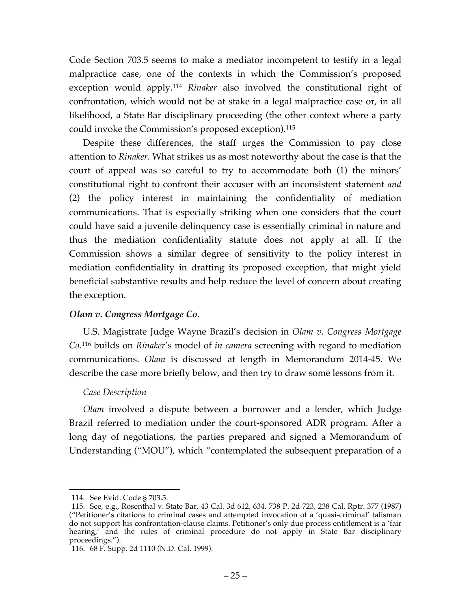Code Section 703.5 seems to make a mediator incompetent to testify in a legal malpractice case, one of the contexts in which the Commission's proposed exception would apply.114 *Rinaker* also involved the constitutional right of confrontation, which would not be at stake in a legal malpractice case or, in all likelihood, a State Bar disciplinary proceeding (the other context where a party could invoke the Commission's proposed exception). 115

Despite these differences, the staff urges the Commission to pay close attention to *Rinaker*. What strikes us as most noteworthy about the case is that the court of appeal was so careful to try to accommodate both (1) the minors' constitutional right to confront their accuser with an inconsistent statement *and* (2) the policy interest in maintaining the confidentiality of mediation communications. That is especially striking when one considers that the court could have said a juvenile delinquency case is essentially criminal in nature and thus the mediation confidentiality statute does not apply at all. If the Commission shows a similar degree of sensitivity to the policy interest in mediation confidentiality in drafting its proposed exception, that might yield beneficial substantive results and help reduce the level of concern about creating the exception.

## *Olam v. Congress Mortgage Co.*

U.S. Magistrate Judge Wayne Brazil's decision in *Olam v. Congress Mortgage Co.*<sup>116</sup> builds on *Rinaker*'s model of *in camera* screening with regard to mediation communications. *Olam* is discussed at length in Memorandum 2014-45. We describe the case more briefly below, and then try to draw some lessons from it.

## *Case Description*

*Olam* involved a dispute between a borrower and a lender, which Judge Brazil referred to mediation under the court-sponsored ADR program. After a long day of negotiations, the parties prepared and signed a Memorandum of Understanding ("MOU"), which "contemplated the subsequent preparation of a

 <sup>114.</sup> See Evid. Code § 703.5.

<sup>115.</sup> See, e.g., Rosenthal v. State Bar, 43 Cal. 3d 612, 634, 738 P. 2d 723, 238 Cal. Rptr. 377 (1987) ("Petitioner's citations to criminal cases and attempted invocation of a 'quasi-criminal' talisman do not support his confrontation-clause claims. Petitioner's only due process entitlement is a 'fair hearing,' and the rules of criminal procedure do not apply in State Bar disciplinary proceedings.").

<sup>116.</sup> 68 F. Supp. 2d 1110 (N.D. Cal. 1999).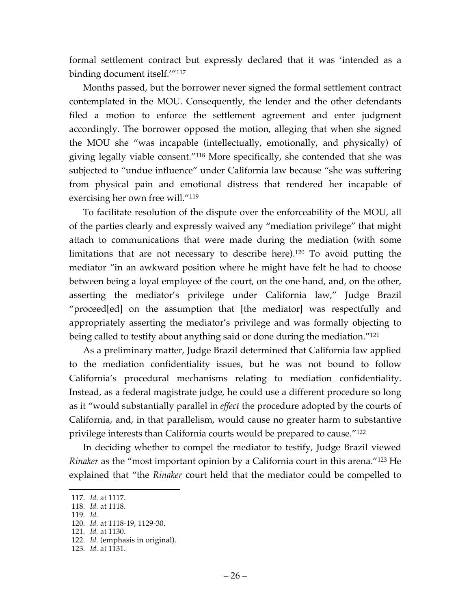formal settlement contract but expressly declared that it was 'intended as a binding document itself.'"117

Months passed, but the borrower never signed the formal settlement contract contemplated in the MOU. Consequently, the lender and the other defendants filed a motion to enforce the settlement agreement and enter judgment accordingly. The borrower opposed the motion, alleging that when she signed the MOU she "was incapable (intellectually, emotionally, and physically) of giving legally viable consent."118 More specifically, she contended that she was subjected to "undue influence" under California law because "she was suffering from physical pain and emotional distress that rendered her incapable of exercising her own free will."119

To facilitate resolution of the dispute over the enforceability of the MOU, all of the parties clearly and expressly waived any "mediation privilege" that might attach to communications that were made during the mediation (with some limitations that are not necessary to describe here).120 To avoid putting the mediator "in an awkward position where he might have felt he had to choose between being a loyal employee of the court, on the one hand, and, on the other, asserting the mediator's privilege under California law," Judge Brazil "proceed[ed] on the assumption that [the mediator] was respectfully and appropriately asserting the mediator's privilege and was formally objecting to being called to testify about anything said or done during the mediation."121

As a preliminary matter, Judge Brazil determined that California law applied to the mediation confidentiality issues, but he was not bound to follow California's procedural mechanisms relating to mediation confidentiality. Instead, as a federal magistrate judge, he could use a different procedure so long as it "would substantially parallel in *effect* the procedure adopted by the courts of California, and, in that parallelism, would cause no greater harm to substantive privilege interests than California courts would be prepared to cause."122

In deciding whether to compel the mediator to testify, Judge Brazil viewed *Rinaker* as the "most important opinion by a California court in this arena."123 He explained that "the *Rinaker* court held that the mediator could be compelled to

 <sup>117.</sup> *Id.* at 1117.

<sup>118.</sup> *Id.* at 1118.

<sup>119.</sup> *Id.*

<sup>120.</sup> *Id.* at 1118-19, 1129-30.

<sup>121.</sup> *Id.* at 1130.

<sup>122.</sup> *Id.* (emphasis in original).

<sup>123.</sup> *Id.* at 1131.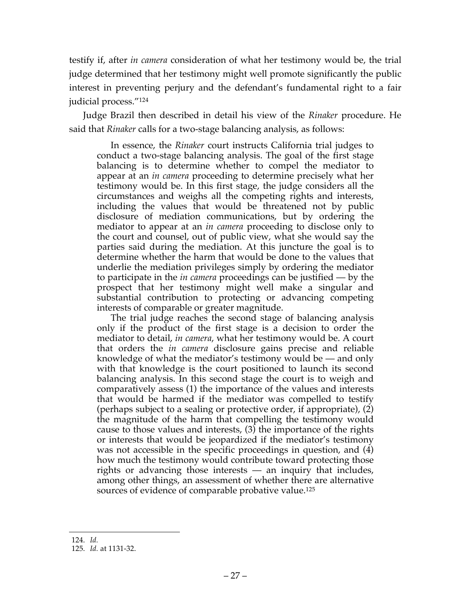testify if, after *in camera* consideration of what her testimony would be, the trial judge determined that her testimony might well promote significantly the public interest in preventing perjury and the defendant's fundamental right to a fair judicial process."124

Judge Brazil then described in detail his view of the *Rinaker* procedure. He said that *Rinaker* calls for a two-stage balancing analysis, as follows:

In essence, the *Rinaker* court instructs California trial judges to conduct a two-stage balancing analysis. The goal of the first stage balancing is to determine whether to compel the mediator to appear at an *in camera* proceeding to determine precisely what her testimony would be. In this first stage, the judge considers all the circumstances and weighs all the competing rights and interests, including the values that would be threatened not by public disclosure of mediation communications, but by ordering the mediator to appear at an *in camera* proceeding to disclose only to the court and counsel, out of public view, what she would say the parties said during the mediation. At this juncture the goal is to determine whether the harm that would be done to the values that underlie the mediation privileges simply by ordering the mediator to participate in the *in camera* proceedings can be justified — by the prospect that her testimony might well make a singular and substantial contribution to protecting or advancing competing interests of comparable or greater magnitude.

The trial judge reaches the second stage of balancing analysis only if the product of the first stage is a decision to order the mediator to detail, *in camera*, what her testimony would be. A court that orders the *in camera* disclosure gains precise and reliable knowledge of what the mediator's testimony would be — and only with that knowledge is the court positioned to launch its second balancing analysis. In this second stage the court is to weigh and comparatively assess (1) the importance of the values and interests that would be harmed if the mediator was compelled to testify (perhaps subject to a sealing or protective order, if appropriate), (2) the magnitude of the harm that compelling the testimony would cause to those values and interests, (3) the importance of the rights or interests that would be jeopardized if the mediator's testimony was not accessible in the specific proceedings in question, and (4) how much the testimony would contribute toward protecting those rights or advancing those interests — an inquiry that includes, among other things, an assessment of whether there are alternative sources of evidence of comparable probative value.<sup>125</sup>

 <sup>124.</sup> *Id.*

<sup>125.</sup> *Id.* at 1131-32.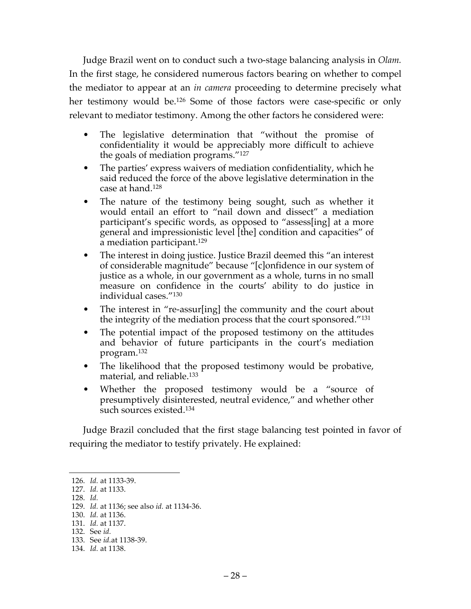Judge Brazil went on to conduct such a two-stage balancing analysis in *Olam.*  In the first stage, he considered numerous factors bearing on whether to compel the mediator to appear at an *in camera* proceeding to determine precisely what her testimony would be.<sup>126</sup> Some of those factors were case-specific or only relevant to mediator testimony. Among the other factors he considered were:

- The legislative determination that "without the promise of confidentiality it would be appreciably more difficult to achieve the goals of mediation programs."127
- The parties' express waivers of mediation confidentiality, which he said reduced the force of the above legislative determination in the case at hand.128
- The nature of the testimony being sought, such as whether it would entail an effort to "nail down and dissect" a mediation participant's specific words, as opposed to "assess[ing] at a more general and impressionistic level [the] condition and capacities" of a mediation participant.129
- The interest in doing justice. Justice Brazil deemed this "an interest" of considerable magnitude" because "[c]onfidence in our system of justice as a whole, in our government as a whole, turns in no small measure on confidence in the courts' ability to do justice in individual cases."130
- The interest in "re-assur[ing] the community and the court about the integrity of the mediation process that the court sponsored."131
- The potential impact of the proposed testimony on the attitudes and behavior of future participants in the court's mediation program.132
- The likelihood that the proposed testimony would be probative, material, and reliable. 133
- Whether the proposed testimony would be a "source of presumptively disinterested, neutral evidence," and whether other such sources existed. 134

Judge Brazil concluded that the first stage balancing test pointed in favor of requiring the mediator to testify privately. He explained:

- 130. *Id.* at 1136.
- 131. *Id.* at 1137.

 <sup>126.</sup> *Id.* at 1133-39.

<sup>127.</sup> *Id.* at 1133.

<sup>128.</sup> *Id.*

<sup>129.</sup> *Id.* at 1136; see also *id.* at 1134-36.

<sup>132.</sup> See *id.*

<sup>133.</sup> See *id.*at 1138-39.

<sup>134.</sup> *Id.* at 1138.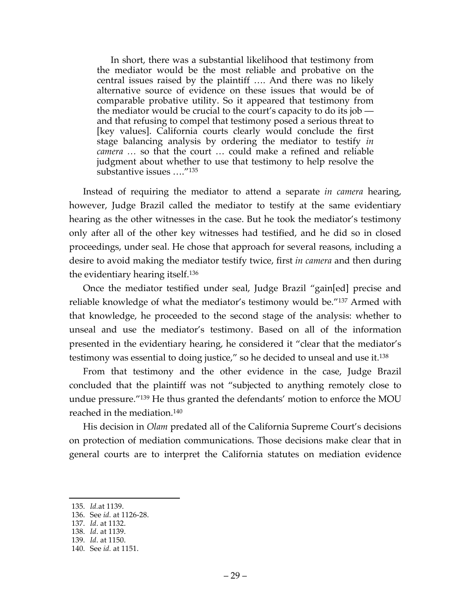In short, there was a substantial likelihood that testimony from the mediator would be the most reliable and probative on the central issues raised by the plaintiff …. And there was no likely alternative source of evidence on these issues that would be of comparable probative utility. So it appeared that testimony from the mediator would be crucial to the court's capacity to do its job and that refusing to compel that testimony posed a serious threat to [key values]. California courts clearly would conclude the first stage balancing analysis by ordering the mediator to testify *in camera …* so that the court … could make a refined and reliable judgment about whether to use that testimony to help resolve the substantive issues ....<sup>"135</sup>

Instead of requiring the mediator to attend a separate *in camera* hearing, however, Judge Brazil called the mediator to testify at the same evidentiary hearing as the other witnesses in the case. But he took the mediator's testimony only after all of the other key witnesses had testified, and he did so in closed proceedings, under seal. He chose that approach for several reasons, including a desire to avoid making the mediator testify twice, first *in camera* and then during the evidentiary hearing itself.136

Once the mediator testified under seal, Judge Brazil "gain[ed] precise and reliable knowledge of what the mediator's testimony would be."137 Armed with that knowledge, he proceeded to the second stage of the analysis: whether to unseal and use the mediator's testimony. Based on all of the information presented in the evidentiary hearing, he considered it "clear that the mediator's testimony was essential to doing justice," so he decided to unseal and use it. 138

From that testimony and the other evidence in the case, Judge Brazil concluded that the plaintiff was not "subjected to anything remotely close to undue pressure."139 He thus granted the defendants' motion to enforce the MOU reached in the mediation.140

His decision in *Olam* predated all of the California Supreme Court's decisions on protection of mediation communications. Those decisions make clear that in general courts are to interpret the California statutes on mediation evidence

 <sup>135.</sup> *Id.*at 1139.

<sup>136.</sup> See *id.* at 1126-28.

<sup>137.</sup> *Id*. at 1132.

<sup>138.</sup> *Id*. at 1139.

<sup>139.</sup> *Id*. at 1150.

<sup>140.</sup> See *id.* at 1151.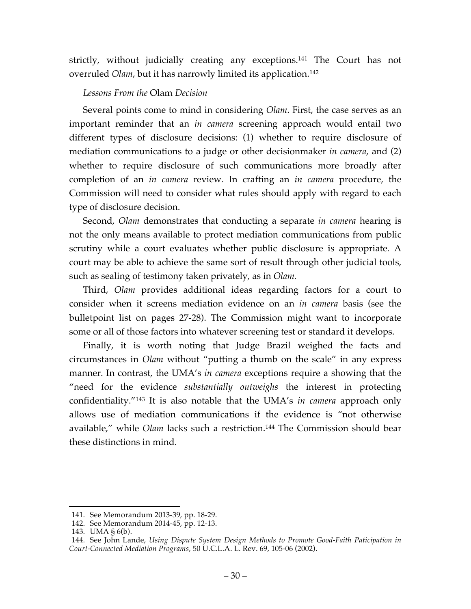strictly, without judicially creating any exceptions.<sup>141</sup> The Court has not overruled *Olam*, but it has narrowly limited its application.142

# *Lessons From the* Olam *Decision*

Several points come to mind in considering *Olam*. First, the case serves as an important reminder that an *in camera* screening approach would entail two different types of disclosure decisions: (1) whether to require disclosure of mediation communications to a judge or other decisionmaker *in camera*, and (2) whether to require disclosure of such communications more broadly after completion of an *in camera* review. In crafting an *in camera* procedure, the Commission will need to consider what rules should apply with regard to each type of disclosure decision.

Second, *Olam* demonstrates that conducting a separate *in camera* hearing is not the only means available to protect mediation communications from public scrutiny while a court evaluates whether public disclosure is appropriate. A court may be able to achieve the same sort of result through other judicial tools, such as sealing of testimony taken privately, as in *Olam.*

Third, *Olam* provides additional ideas regarding factors for a court to consider when it screens mediation evidence on an *in camera* basis (see the bulletpoint list on pages 27-28). The Commission might want to incorporate some or all of those factors into whatever screening test or standard it develops.

Finally, it is worth noting that Judge Brazil weighed the facts and circumstances in *Olam* without "putting a thumb on the scale" in any express manner. In contrast, the UMA's *in camera* exceptions require a showing that the "need for the evidence *substantially outweighs* the interest in protecting confidentiality."143 It is also notable that the UMA's *in camera* approach only allows use of mediation communications if the evidence is "not otherwise available," while *Olam* lacks such a restriction.144 The Commission should bear these distinctions in mind.

 <sup>141.</sup> See Memorandum 2013-39, pp. 18-29.

<sup>142.</sup> See Memorandum 2014-45, pp. 12-13.

<sup>143.</sup> UMA § 6(b).

<sup>144.</sup> See John Lande, *Using Dispute System Design Methods to Promote Good-Faith Paticipation in Court-Connected Mediation Programs,* 50 U.C.L.A. L. Rev. 69, 105-06 (2002).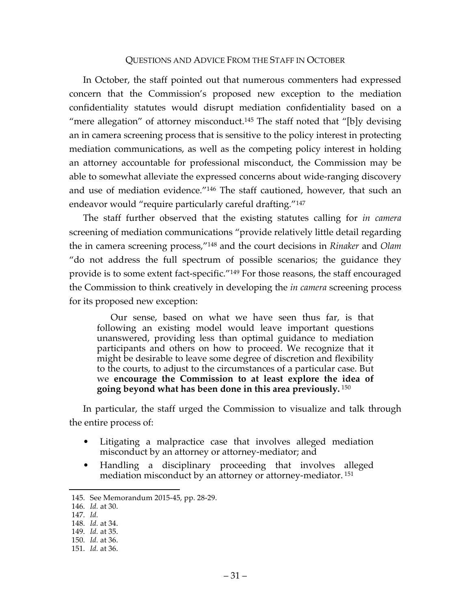#### QUESTIONS AND ADVICE FROM THE STAFF IN OCTOBER

In October, the staff pointed out that numerous commenters had expressed concern that the Commission's proposed new exception to the mediation confidentiality statutes would disrupt mediation confidentiality based on a "mere allegation" of attorney misconduct.<sup>145</sup> The staff noted that "[b]y devising an in camera screening process that is sensitive to the policy interest in protecting mediation communications, as well as the competing policy interest in holding an attorney accountable for professional misconduct, the Commission may be able to somewhat alleviate the expressed concerns about wide-ranging discovery and use of mediation evidence."146 The staff cautioned, however, that such an endeavor would "require particularly careful drafting."147

The staff further observed that the existing statutes calling for *in camera* screening of mediation communications "provide relatively little detail regarding the in camera screening process,"148 and the court decisions in *Rinaker* and *Olam* "do not address the full spectrum of possible scenarios; the guidance they provide is to some extent fact-specific."149 For those reasons, the staff encouraged the Commission to think creatively in developing the *in camera* screening process for its proposed new exception:

Our sense, based on what we have seen thus far, is that following an existing model would leave important questions unanswered, providing less than optimal guidance to mediation participants and others on how to proceed. We recognize that it might be desirable to leave some degree of discretion and flexibility to the courts, to adjust to the circumstances of a particular case. But we **encourage the Commission to at least explore the idea of going beyond what has been done in this area previously.** <sup>150</sup>

In particular, the staff urged the Commission to visualize and talk through the entire process of:

- Litigating a malpractice case that involves alleged mediation misconduct by an attorney or attorney-mediator; and
- Handling a disciplinary proceeding that involves alleged mediation misconduct by an attorney or attorney-mediator. <sup>151</sup>

147. *Id.*

 <sup>145.</sup> See Memorandum 2015-45, pp. 28-29.

<sup>146.</sup> *Id.* at 30.

<sup>148.</sup> *Id.* at 34.

<sup>149.</sup> *Id.* at 35.

<sup>150.</sup> *Id.* at 36.

<sup>151.</sup> *Id.* at 36.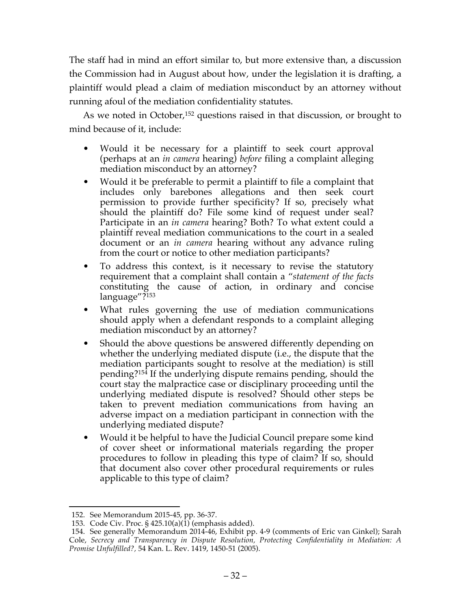The staff had in mind an effort similar to, but more extensive than, a discussion the Commission had in August about how, under the legislation it is drafting, a plaintiff would plead a claim of mediation misconduct by an attorney without running afoul of the mediation confidentiality statutes.

As we noted in October,<sup>152</sup> questions raised in that discussion, or brought to mind because of it, include:

- Would it be necessary for a plaintiff to seek court approval (perhaps at an *in camera* hearing) *before* filing a complaint alleging mediation misconduct by an attorney?
- Would it be preferable to permit a plaintiff to file a complaint that includes only barebones allegations and then seek court permission to provide further specificity? If so, precisely what should the plaintiff do? File some kind of request under seal? Participate in an *in camera* hearing? Both? To what extent could a plaintiff reveal mediation communications to the court in a sealed document or an *in camera* hearing without any advance ruling from the court or notice to other mediation participants?
- To address this context, is it necessary to revise the statutory requirement that a complaint shall contain a "*statement of the facts* constituting the cause of action, in ordinary and concise language"?153
- What rules governing the use of mediation communications should apply when a defendant responds to a complaint alleging mediation misconduct by an attorney?
- Should the above questions be answered differently depending on whether the underlying mediated dispute (i.e., the dispute that the mediation participants sought to resolve at the mediation) is still pending?154 If the underlying dispute remains pending, should the court stay the malpractice case or disciplinary proceeding until the underlying mediated dispute is resolved? Should other steps be taken to prevent mediation communications from having an adverse impact on a mediation participant in connection with the underlying mediated dispute?
- Would it be helpful to have the Judicial Council prepare some kind of cover sheet or informational materials regarding the proper procedures to follow in pleading this type of claim? If so, should that document also cover other procedural requirements or rules applicable to this type of claim?

 <sup>152.</sup> See Memorandum 2015-45, pp. 36-37.

<sup>153.</sup> Code Civ. Proc. §  $425.10(a)(\overline{1})$  (emphasis added).

<sup>154.</sup> See generally Memorandum 2014-46, Exhibit pp. 4-9 (comments of Eric van Ginkel); Sarah Cole, *Secrecy and Transparency in Dispute Resolution, Protecting Confidentiality in Mediation: A Promise Unfulfilled?,* 54 Kan. L. Rev. 1419, 1450-51 (2005).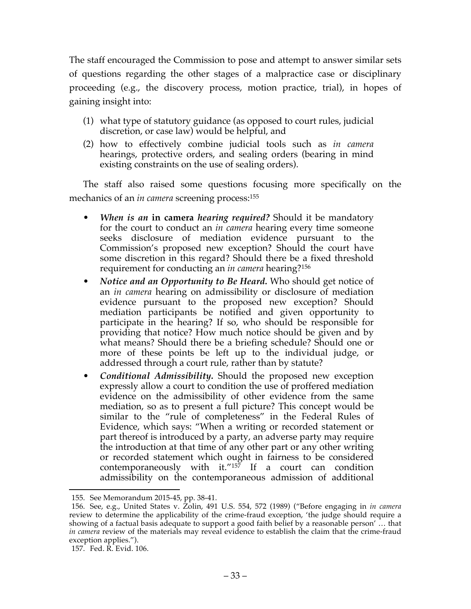The staff encouraged the Commission to pose and attempt to answer similar sets of questions regarding the other stages of a malpractice case or disciplinary proceeding (e.g., the discovery process, motion practice, trial), in hopes of gaining insight into:

- (1) what type of statutory guidance (as opposed to court rules, judicial discretion, or case law) would be helpful, and
- (2) how to effectively combine judicial tools such as *in camera* hearings, protective orders, and sealing orders (bearing in mind existing constraints on the use of sealing orders).

The staff also raised some questions focusing more specifically on the mechanics of an *in camera* screening process: 155

- *When is an* **in camera** *hearing required?* Should it be mandatory for the court to conduct an *in camera* hearing every time someone seeks disclosure of mediation evidence pursuant to the Commission's proposed new exception? Should the court have some discretion in this regard? Should there be a fixed threshold requirement for conducting an *in camera* hearing?156
- *Notice and an Opportunity to Be Heard.* Who should get notice of an *in camera* hearing on admissibility or disclosure of mediation evidence pursuant to the proposed new exception? Should mediation participants be notified and given opportunity to participate in the hearing? If so, who should be responsible for providing that notice? How much notice should be given and by what means? Should there be a briefing schedule? Should one or more of these points be left up to the individual judge, or addressed through a court rule, rather than by statute?
- *Conditional Admissibility.* Should the proposed new exception expressly allow a court to condition the use of proffered mediation evidence on the admissibility of other evidence from the same mediation, so as to present a full picture? This concept would be similar to the "rule of completeness" in the Federal Rules of Evidence, which says: "When a writing or recorded statement or part thereof is introduced by a party, an adverse party may require the introduction at that time of any other part or any other writing or recorded statement which ought in fairness to be considered contemporaneously with it." $157$  If a court can condition admissibility on the contemporaneous admission of additional

 <sup>155.</sup> See Memorandum 2015-45, pp. 38-41.

<sup>156.</sup> See, e.g., United States v. Zolin, 491 U.S. 554, 572 (1989) ("Before engaging in *in camera* review to determine the applicability of the crime-fraud exception, 'the judge should require a showing of a factual basis adequate to support a good faith belief by a reasonable person' … that *in camera* review of the materials may reveal evidence to establish the claim that the crime-fraud exception applies.").

<sup>157.</sup> Fed. R. Evid. 106.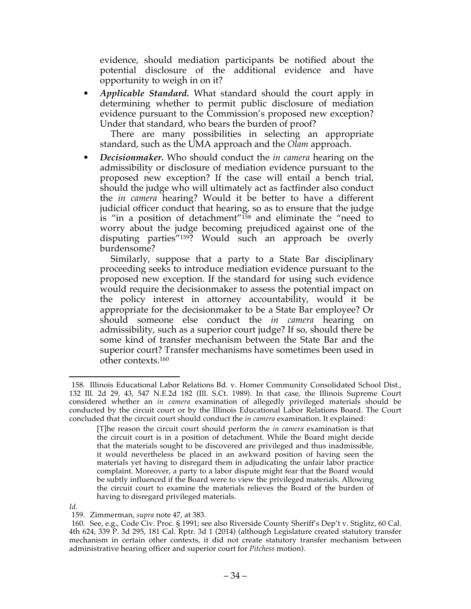evidence, should mediation participants be notified about the potential disclosure of the additional evidence and have opportunity to weigh in on it?

• *Applicable Standard.* What standard should the court apply in determining whether to permit public disclosure of mediation evidence pursuant to the Commission's proposed new exception? Under that standard, who bears the burden of proof?

There are many possibilities in selecting an appropriate standard, such as the UMA approach and the *Olam* approach.

• *Decisionmaker.* Who should conduct the *in camera* hearing on the admissibility or disclosure of mediation evidence pursuant to the proposed new exception? If the case will entail a bench trial, should the judge who will ultimately act as factfinder also conduct the *in camera* hearing? Would it be better to have a different judicial officer conduct that hearing, so as to ensure that the judge is "in a position of detachment"<sup>158</sup> and eliminate the "need to worry about the judge becoming prejudiced against one of the disputing parties"159? Would such an approach be overly burdensome?

Similarly, suppose that a party to a State Bar disciplinary proceeding seeks to introduce mediation evidence pursuant to the proposed new exception. If the standard for using such evidence would require the decisionmaker to assess the potential impact on the policy interest in attorney accountability, would it be appropriate for the decisionmaker to be a State Bar employee? Or should someone else conduct the *in camera* hearing on admissibility, such as a superior court judge? If so, should there be some kind of transfer mechanism between the State Bar and the superior court? Transfer mechanisms have sometimes been used in other contexts.160

 <sup>158.</sup> Illinois Educational Labor Relations Bd. v. Homer Community Consolidated School Dist., 132 Ill. 2d 29, 43, 547 N.E.2d 182 (Ill. S.Ct. 1989). In that case, the Illinois Supreme Court considered whether an *in camera* examination of allegedly privileged materials should be conducted by the circuit court or by the Illinois Educational Labor Relations Board. The Court concluded that the circuit court should conduct the *in camera* examination. It explained:

<sup>[</sup>T]he reason the circuit court should perform the *in camera* examination is that the circuit court is in a position of detachment. While the Board might decide that the materials sought to be discovered are privileged and thus inadmissible, it would nevertheless be placed in an awkward position of having seen the materials yet having to disregard them in adjudicating the unfair labor practice complaint. Moreover, a party to a labor dispute might fear that the Board would be subtly influenced if the Board were to view the privileged materials. Allowing the circuit court to examine the materials relieves the Board of the burden of having to disregard privileged materials.

*Id.*

<sup>159.</sup> Zimmerman, *supra* note 47, at 383.

<sup>160.</sup> See, e.g., Code Civ. Proc. § 1991; see also Riverside County Sheriff's Dep't v. Stiglitz, 60 Cal. 4th 624, 339 P. 3d 295, 181 Cal. Rptr. 3d 1 (2014) (although Legislature created statutory transfer mechanism in certain other contexts, it did not create statutory transfer mechanism between administrative hearing officer and superior court for *Pitchess* motion).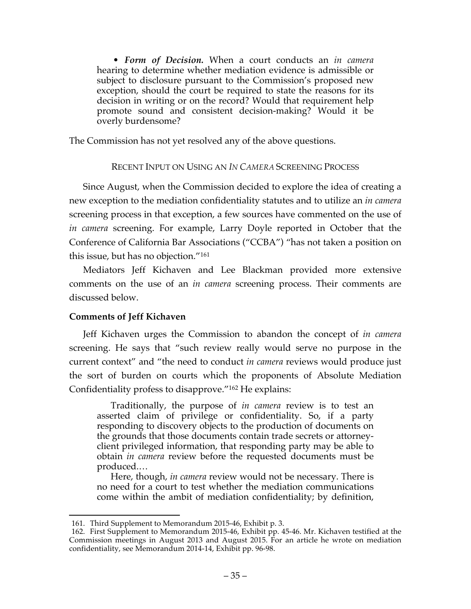• *Form of Decision.* When a court conducts an *in camera* hearing to determine whether mediation evidence is admissible or subject to disclosure pursuant to the Commission's proposed new exception, should the court be required to state the reasons for its decision in writing or on the record? Would that requirement help promote sound and consistent decision-making? Would it be overly burdensome?

The Commission has not yet resolved any of the above questions.

#### RECENT INPUT ON USING AN *IN CAMERA* SCREENING PROCESS

Since August, when the Commission decided to explore the idea of creating a new exception to the mediation confidentiality statutes and to utilize an *in camera* screening process in that exception, a few sources have commented on the use of *in camera* screening. For example, Larry Doyle reported in October that the Conference of California Bar Associations ("CCBA") "has not taken a position on this issue, but has no objection."161

Mediators Jeff Kichaven and Lee Blackman provided more extensive comments on the use of an *in camera* screening process. Their comments are discussed below.

## **Comments of Jeff Kichaven**

Jeff Kichaven urges the Commission to abandon the concept of *in camera*  screening. He says that "such review really would serve no purpose in the current context" and "the need to conduct *in camera* reviews would produce just the sort of burden on courts which the proponents of Absolute Mediation Confidentiality profess to disapprove."162 He explains:

Traditionally, the purpose of *in camera* review is to test an asserted claim of privilege or confidentiality. So, if a party responding to discovery objects to the production of documents on the grounds that those documents contain trade secrets or attorneyclient privileged information, that responding party may be able to obtain *in camera* review before the requested documents must be produced.…

Here, though, *in camera* review would not be necessary. There is no need for a court to test whether the mediation communications come within the ambit of mediation confidentiality; by definition,

 <sup>161.</sup> Third Supplement to Memorandum 2015-46, Exhibit p. 3.

<sup>162.</sup> First Supplement to Memorandum 2015-46, Exhibit pp. 45-46. Mr. Kichaven testified at the Commission meetings in August 2013 and August 2015. For an article he wrote on mediation confidentiality, see Memorandum 2014-14, Exhibit pp. 96-98.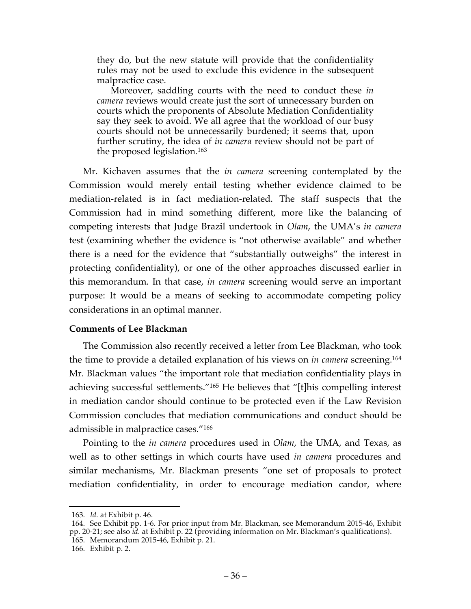they do, but the new statute will provide that the confidentiality rules may not be used to exclude this evidence in the subsequent malpractice case.

Moreover, saddling courts with the need to conduct these *in camera* reviews would create just the sort of unnecessary burden on courts which the proponents of Absolute Mediation Confidentiality say they seek to avoid. We all agree that the workload of our busy courts should not be unnecessarily burdened; it seems that, upon further scrutiny, the idea of *in camera* review should not be part of the proposed legislation.163

Mr. Kichaven assumes that the *in camera* screening contemplated by the Commission would merely entail testing whether evidence claimed to be mediation-related is in fact mediation-related. The staff suspects that the Commission had in mind something different, more like the balancing of competing interests that Judge Brazil undertook in *Olam*, the UMA's *in camera* test (examining whether the evidence is "not otherwise available" and whether there is a need for the evidence that "substantially outweighs" the interest in protecting confidentiality), or one of the other approaches discussed earlier in this memorandum. In that case, *in camera* screening would serve an important purpose: It would be a means of seeking to accommodate competing policy considerations in an optimal manner.

#### **Comments of Lee Blackman**

The Commission also recently received a letter from Lee Blackman, who took the time to provide a detailed explanation of his views on *in camera* screening.164 Mr. Blackman values "the important role that mediation confidentiality plays in achieving successful settlements."165 He believes that "[t]his compelling interest in mediation candor should continue to be protected even if the Law Revision Commission concludes that mediation communications and conduct should be admissible in malpractice cases."166

Pointing to the *in camera* procedures used in *Olam*, the UMA, and Texas, as well as to other settings in which courts have used *in camera* procedures and similar mechanisms, Mr. Blackman presents "one set of proposals to protect mediation confidentiality, in order to encourage mediation candor, where

 <sup>163.</sup> *Id.* at Exhibit p. 46.

<sup>164.</sup> See Exhibit pp. 1-6. For prior input from Mr. Blackman, see Memorandum 2015-46, Exhibit pp. 20-21; see also *id.* at Exhibit p. 22 (providing information on Mr. Blackman's qualifications). 165. Memorandum 2015-46, Exhibit p. 21.

<sup>166.</sup> Exhibit p. 2.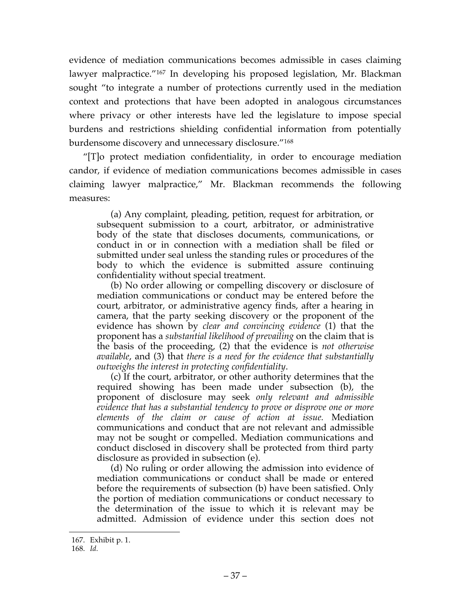evidence of mediation communications becomes admissible in cases claiming lawyer malpractice."167 In developing his proposed legislation, Mr. Blackman sought "to integrate a number of protections currently used in the mediation context and protections that have been adopted in analogous circumstances where privacy or other interests have led the legislature to impose special burdens and restrictions shielding confidential information from potentially burdensome discovery and unnecessary disclosure."168

"[T]o protect mediation confidentiality, in order to encourage mediation candor, if evidence of mediation communications becomes admissible in cases claiming lawyer malpractice," Mr. Blackman recommends the following measures:

(a) Any complaint, pleading, petition, request for arbitration, or subsequent submission to a court, arbitrator, or administrative body of the state that discloses documents, communications, or conduct in or in connection with a mediation shall be filed or submitted under seal unless the standing rules or procedures of the body to which the evidence is submitted assure continuing confidentiality without special treatment.

(b) No order allowing or compelling discovery or disclosure of mediation communications or conduct may be entered before the court, arbitrator, or administrative agency finds, after a hearing in camera, that the party seeking discovery or the proponent of the evidence has shown by *clear and convincing evidence* (1) that the proponent has a *substantial likelihood of prevailing* on the claim that is the basis of the proceeding, (2) that the evidence is *not otherwise available*, and (3) that *there is a need for the evidence that substantially outweighs the interest in protecting confidentiality*.

(c) If the court, arbitrator, or other authority determines that the required showing has been made under subsection (b), the proponent of disclosure may seek *only relevant and admissible evidence that has a substantial tendency to prove or disprove one or more elements of the claim or cause of action at issue.* Mediation communications and conduct that are not relevant and admissible may not be sought or compelled. Mediation communications and conduct disclosed in discovery shall be protected from third party disclosure as provided in subsection (e).

(d) No ruling or order allowing the admission into evidence of mediation communications or conduct shall be made or entered before the requirements of subsection (b) have been satisfied. Only the portion of mediation communications or conduct necessary to the determination of the issue to which it is relevant may be admitted. Admission of evidence under this section does not

 <sup>167.</sup> Exhibit p. 1.

<sup>168.</sup> *Id.*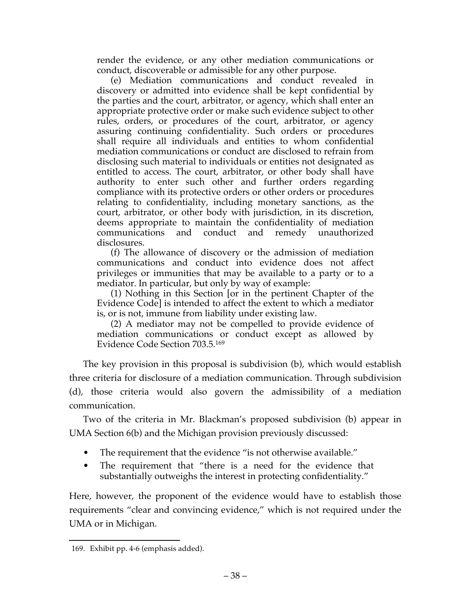render the evidence, or any other mediation communications or conduct, discoverable or admissible for any other purpose.

(e) Mediation communications and conduct revealed in discovery or admitted into evidence shall be kept confidential by the parties and the court, arbitrator, or agency, which shall enter an appropriate protective order or make such evidence subject to other rules, orders, or procedures of the court, arbitrator, or agency assuring continuing confidentiality. Such orders or procedures shall require all individuals and entities to whom confidential mediation communications or conduct are disclosed to refrain from disclosing such material to individuals or entities not designated as entitled to access. The court, arbitrator, or other body shall have authority to enter such other and further orders regarding compliance with its protective orders or other orders or procedures relating to confidentiality, including monetary sanctions, as the court, arbitrator, or other body with jurisdiction, in its discretion, deems appropriate to maintain the confidentiality of mediation communications and conduct and remedy unauthorized disclosures.

(f) The allowance of discovery or the admission of mediation communications and conduct into evidence does not affect privileges or immunities that may be available to a party or to a mediator. In particular, but only by way of example:

(1) Nothing in this Section [or in the pertinent Chapter of the Evidence Code] is intended to affect the extent to which a mediator is, or is not, immune from liability under existing law.

(2) A mediator may not be compelled to provide evidence of mediation communications or conduct except as allowed by Evidence Code Section 703.5.169

The key provision in this proposal is subdivision (b), which would establish three criteria for disclosure of a mediation communication. Through subdivision (d), those criteria would also govern the admissibility of a mediation communication.

Two of the criteria in Mr. Blackman's proposed subdivision (b) appear in UMA Section 6(b) and the Michigan provision previously discussed:

- The requirement that the evidence "is not otherwise available."
- The requirement that "there is a need for the evidence that substantially outweighs the interest in protecting confidentiality."

Here, however, the proponent of the evidence would have to establish those requirements "clear and convincing evidence," which is not required under the UMA or in Michigan.

 <sup>169.</sup> Exhibit pp. 4-6 (emphasis added).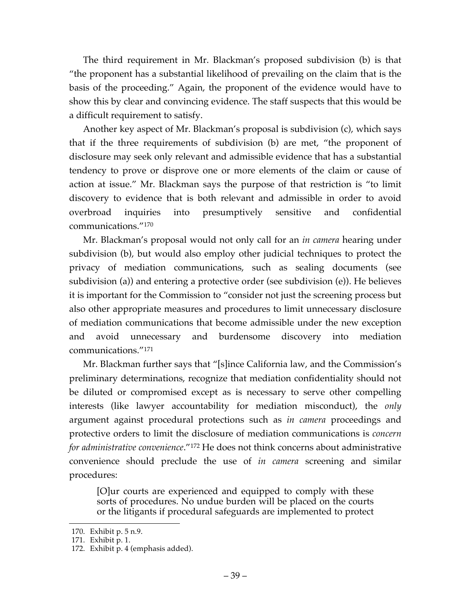The third requirement in Mr. Blackman's proposed subdivision (b) is that "the proponent has a substantial likelihood of prevailing on the claim that is the basis of the proceeding." Again, the proponent of the evidence would have to show this by clear and convincing evidence. The staff suspects that this would be a difficult requirement to satisfy.

Another key aspect of Mr. Blackman's proposal is subdivision (c), which says that if the three requirements of subdivision (b) are met, "the proponent of disclosure may seek only relevant and admissible evidence that has a substantial tendency to prove or disprove one or more elements of the claim or cause of action at issue." Mr. Blackman says the purpose of that restriction is "to limit discovery to evidence that is both relevant and admissible in order to avoid overbroad inquiries into presumptively sensitive and confidential communications."170

Mr. Blackman's proposal would not only call for an *in camera* hearing under subdivision (b), but would also employ other judicial techniques to protect the privacy of mediation communications, such as sealing documents (see subdivision (a)) and entering a protective order (see subdivision (e)). He believes it is important for the Commission to "consider not just the screening process but also other appropriate measures and procedures to limit unnecessary disclosure of mediation communications that become admissible under the new exception and avoid unnecessary and burdensome discovery into mediation communications."171

Mr. Blackman further says that "[s]ince California law, and the Commission's preliminary determinations, recognize that mediation confidentiality should not be diluted or compromised except as is necessary to serve other compelling interests (like lawyer accountability for mediation misconduct), the *only* argument against procedural protections such as *in camera* proceedings and protective orders to limit the disclosure of mediation communications is *concern for administrative convenience*."172 He does not think concerns about administrative convenience should preclude the use of *in camera* screening and similar procedures:

[O]ur courts are experienced and equipped to comply with these sorts of procedures. No undue burden will be placed on the courts or the litigants if procedural safeguards are implemented to protect

 <sup>170.</sup> Exhibit p. 5 n.9.

<sup>171.</sup> Exhibit p. 1.

<sup>172.</sup> Exhibit p. 4 (emphasis added).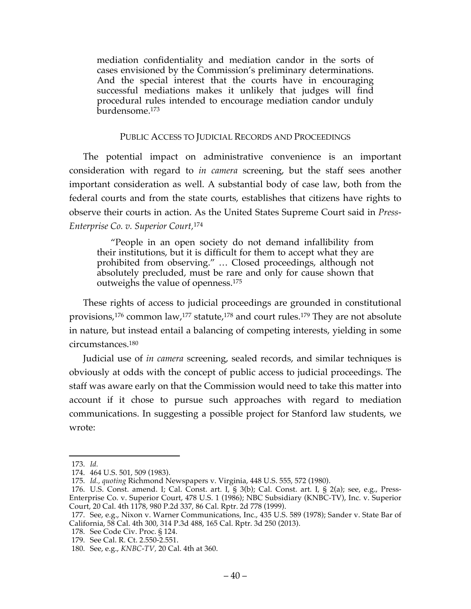mediation confidentiality and mediation candor in the sorts of cases envisioned by the Commission's preliminary determinations. And the special interest that the courts have in encouraging successful mediations makes it unlikely that judges will find procedural rules intended to encourage mediation candor unduly burdensome.173

#### PUBLIC ACCESS TO JUDICIAL RECORDS AND PROCEEDINGS

The potential impact on administrative convenience is an important consideration with regard to *in camera* screening, but the staff sees another important consideration as well. A substantial body of case law, both from the federal courts and from the state courts, establishes that citizens have rights to observe their courts in action. As the United States Supreme Court said in *Press-Enterprise Co. v. Superior Court,*<sup>174</sup>

"People in an open society do not demand infallibility from their institutions, but it is difficult for them to accept what they are prohibited from observing." … Closed proceedings, although not absolutely precluded, must be rare and only for cause shown that outweighs the value of openness.175

These rights of access to judicial proceedings are grounded in constitutional provisions,176 common law,177 statute,178 and court rules.179 They are not absolute in nature, but instead entail a balancing of competing interests, yielding in some circumstances.180

Judicial use of *in camera* screening, sealed records, and similar techniques is obviously at odds with the concept of public access to judicial proceedings. The staff was aware early on that the Commission would need to take this matter into account if it chose to pursue such approaches with regard to mediation communications. In suggesting a possible project for Stanford law students, we wrote:

178. See Code Civ. Proc. § 124.

 <sup>173.</sup> *Id.*

<sup>174.</sup> 464 U.S. 501, 509 (1983).

<sup>175.</sup> *Id., quoting* Richmond Newspapers v. Virginia, 448 U.S. 555, 572 (1980).

<sup>176.</sup> U.S. Const. amend. I; Cal. Const. art. I, § 3(b); Cal. Const. art. I, § 2(a); see, e.g., Press-Enterprise Co. v. Superior Court, 478 U.S. 1 (1986); NBC Subsidiary (KNBC-TV), Inc. v. Superior Court, 20 Cal. 4th 1178, 980 P.2d 337, 86 Cal. Rptr. 2d 778 (1999).

<sup>177.</sup> See, e.g., Nixon v. Warner Communications, Inc., 435 U.S. 589 (1978); Sander v. State Bar of California, 58 Cal. 4th 300, 314 P.3d 488, 165 Cal. Rptr. 3d 250 (2013).

<sup>179.</sup> See Cal. R. Ct. 2.550-2.551.

<sup>180.</sup> See, e.g., *KNBC-TV,* 20 Cal. 4th at 360.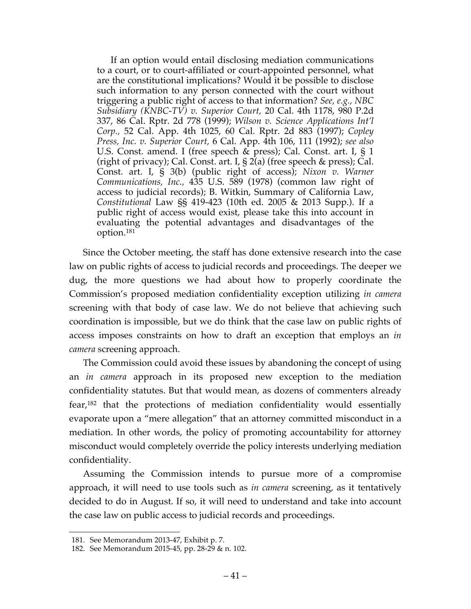If an option would entail disclosing mediation communications to a court, or to court-affiliated or court-appointed personnel, what are the constitutional implications? Would it be possible to disclose such information to any person connected with the court without triggering a public right of access to that information? *See, e.g., NBC Subsidiary (KNBC-TV) v. Superior Court,* 20 Cal. 4th 1178, 980 P.2d 337, 86 Cal. Rptr. 2d 778 (1999); *Wilson v. Science Applications Int'l Corp.,* 52 Cal. App. 4th 1025, 60 Cal. Rptr. 2d 883 (1997); *Copley Press, Inc. v. Superior Court,* 6 Cal. App. 4th 106, 111 (1992); *see also* U.S. Const. amend. I (free speech & press); Cal. Const. art. I, § 1 (right of privacy); Cal. Const. art. I,  $\S 2(a)$  (free speech & press); Cal. Const. art. I, § 3(b) (public right of access); *Nixon v. Warner Communications, Inc.,* 435 U.S. 589 (1978) (common law right of access to judicial records); B. Witkin, Summary of California Law, *Constitutional* Law §§ 419-423 (10th ed. 2005 & 2013 Supp.). If a public right of access would exist, please take this into account in evaluating the potential advantages and disadvantages of the option.181

Since the October meeting, the staff has done extensive research into the case law on public rights of access to judicial records and proceedings. The deeper we dug, the more questions we had about how to properly coordinate the Commission's proposed mediation confidentiality exception utilizing *in camera* screening with that body of case law. We do not believe that achieving such coordination is impossible, but we do think that the case law on public rights of access imposes constraints on how to draft an exception that employs an *in camera* screening approach.

The Commission could avoid these issues by abandoning the concept of using an *in camera* approach in its proposed new exception to the mediation confidentiality statutes. But that would mean, as dozens of commenters already fear,182 that the protections of mediation confidentiality would essentially evaporate upon a "mere allegation" that an attorney committed misconduct in a mediation. In other words, the policy of promoting accountability for attorney misconduct would completely override the policy interests underlying mediation confidentiality.

Assuming the Commission intends to pursue more of a compromise approach, it will need to use tools such as *in camera* screening, as it tentatively decided to do in August. If so, it will need to understand and take into account the case law on public access to judicial records and proceedings.

 <sup>181.</sup> See Memorandum 2013-47, Exhibit p. 7.

<sup>182.</sup> See Memorandum 2015-45, pp. 28-29 & n. 102.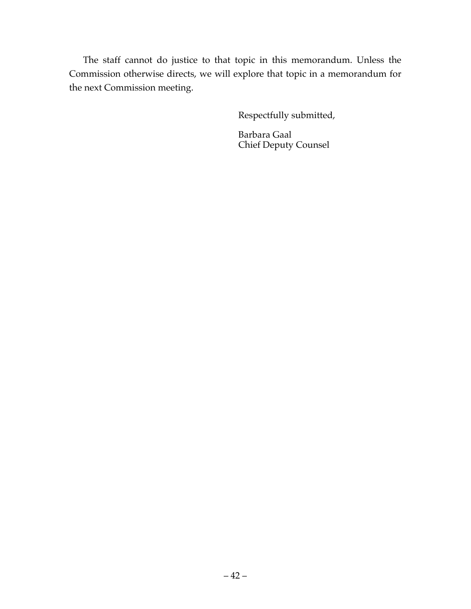The staff cannot do justice to that topic in this memorandum. Unless the Commission otherwise directs, we will explore that topic in a memorandum for the next Commission meeting.

Respectfully submitted,

Barbara Gaal Chief Deputy Counsel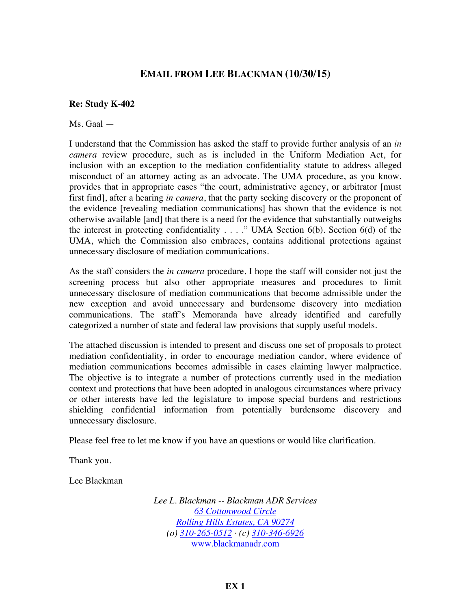# **EMAIL FROM LEE BLACKMAN (10/30/15)**

#### **Re: Study K-402**

#### Ms. Gaal —

I understand that the Commission has asked the staff to provide further analysis of an *in camera* review procedure, such as is included in the Uniform Mediation Act, for inclusion with an exception to the mediation confidentiality statute to address alleged misconduct of an attorney acting as an advocate. The UMA procedure, as you know, provides that in appropriate cases "the court, administrative agency, or arbitrator [must first find], after a hearing *in camera*, that the party seeking discovery or the proponent of the evidence [revealing mediation communications] has shown that the evidence is not otherwise available [and] that there is a need for the evidence that substantially outweighs the interest in protecting confidentiality  $\ldots$ ." UMA Section 6(b). Section 6(d) of the UMA, which the Commission also embraces, contains additional protections against unnecessary disclosure of mediation communications.

As the staff considers the *in camera* procedure, I hope the staff will consider not just the screening process but also other appropriate measures and procedures to limit unnecessary disclosure of mediation communications that become admissible under the new exception and avoid unnecessary and burdensome discovery into mediation communications. The staff's Memoranda have already identified and carefully categorized a number of state and federal law provisions that supply useful models.

The attached discussion is intended to present and discuss one set of proposals to protect mediation confidentiality, in order to encourage mediation candor, where evidence of mediation communications becomes admissible in cases claiming lawyer malpractice. The objective is to integrate a number of protections currently used in the mediation context and protections that have been adopted in analogous circumstances where privacy or other interests have led the legislature to impose special burdens and restrictions shielding confidential information from potentially burdensome discovery and unnecessary disclosure.

Please feel free to let me know if you have an questions or would like clarification.

Thank you.

Lee Blackman

*Lee L. Blackman -- Blackman ADR Services 63 Cottonwood Circle Rolling Hills Estates, CA 90274 (o) 310-265-0512 · (c) 310-346-6926* www.blackmanadr.com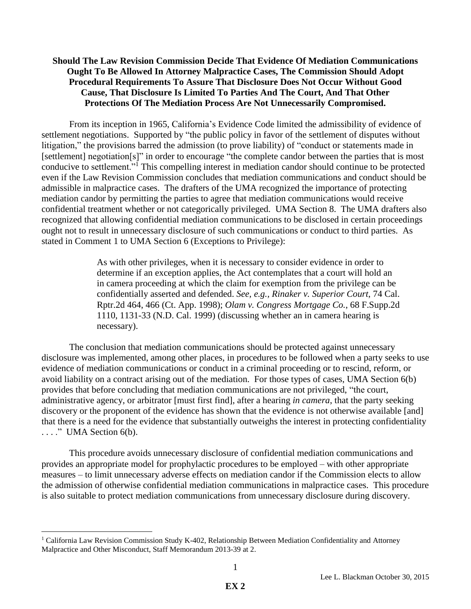#### **Should The Law Revision Commission Decide That Evidence Of Mediation Communications Ought To Be Allowed In Attorney Malpractice Cases, The Commission Should Adopt Procedural Requirements To Assure That Disclosure Does Not Occur Without Good Cause, That Disclosure Is Limited To Parties And The Court, And That Other Protections Of The Mediation Process Are Not Unnecessarily Compromised.**

 From its inception in 1965, California's Evidence Code limited the admissibility of evidence of settlement negotiations. Supported by "the public policy in favor of the settlement of disputes without litigation," the provisions barred the admission (to prove liability) of "conduct or statements made in [settlement] negotiation[s]" in order to encourage "the complete candor between the parties that is most conducive to settlement."<sup>1</sup> This compelling interest in mediation candor should continue to be protected even if the Law Revision Commission concludes that mediation communications and conduct should be admissible in malpractice cases. The drafters of the UMA recognized the importance of protecting mediation candor by permitting the parties to agree that mediation communications would receive confidential treatment whether or not categorically privileged. UMA Section 8. The UMA drafters also recognized that allowing confidential mediation communications to be disclosed in certain proceedings ought not to result in unnecessary disclosure of such communications or conduct to third parties. As stated in Comment 1 to UMA Section 6 (Exceptions to Privilege):

> As with other privileges, when it is necessary to consider evidence in order to determine if an exception applies, the Act contemplates that a court will hold an in camera proceeding at which the claim for exemption from the privilege can be confidentially asserted and defended. *See, e.g., Rinaker v. Superior Court*, 74 Cal. Rptr.2d 464, 466 (Ct. App. 1998); *Olam v. Congress Mortgage Co.*, 68 F.Supp.2d 1110, 1131-33 (N.D. Cal. 1999) (discussing whether an in camera hearing is necessary).

The conclusion that mediation communications should be protected against unnecessary disclosure was implemented, among other places, in procedures to be followed when a party seeks to use evidence of mediation communications or conduct in a criminal proceeding or to rescind, reform, or avoid liability on a contract arising out of the mediation. For those types of cases, UMA Section 6(b) provides that before concluding that mediation communications are not privileged, "the court, administrative agency, or arbitrator [must first find], after a hearing *in camera*, that the party seeking discovery or the proponent of the evidence has shown that the evidence is not otherwise available [and] that there is a need for the evidence that substantially outweighs the interest in protecting confidentiality  $\ldots$ ." UMA Section 6(b).

 This procedure avoids unnecessary disclosure of confidential mediation communications and provides an appropriate model for prophylactic procedures to be employed – with other appropriate measures – to limit unnecessary adverse effects on mediation candor if the Commission elects to allow the admission of otherwise confidential mediation communications in malpractice cases. This procedure is also suitable to protect mediation communications from unnecessary disclosure during discovery.

 $\overline{a}$ 

1

<sup>&</sup>lt;sup>1</sup> California Law Revision Commission Study K-402, Relationship Between Mediation Confidentiality and Attorney Malpractice and Other Misconduct, Staff Memorandum 2013-39 at 2.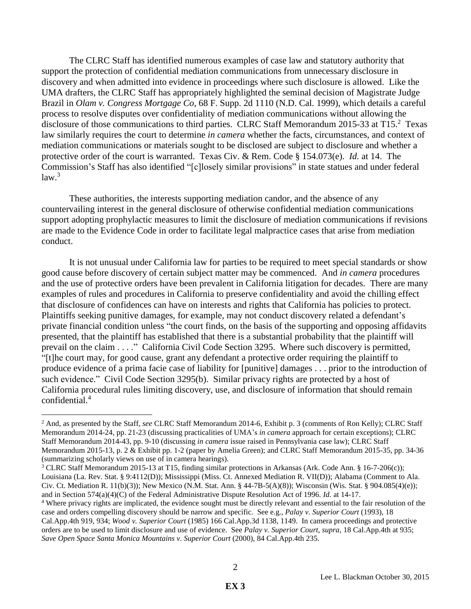The CLRC Staff has identified numerous examples of case law and statutory authority that support the protection of confidential mediation communications from unnecessary disclosure in discovery and when admitted into evidence in proceedings where such disclosure is allowed. Like the UMA drafters, the CLRC Staff has appropriately highlighted the seminal decision of Magistrate Judge Brazil in *Olam v. Congress Mortgage Co*, 68 F. Supp. 2d 1110 (N.D. Cal. 1999), which details a careful process to resolve disputes over confidentiality of mediation communications without allowing the disclosure of those communications to third parties. CLRC Staff Memorandum 2015-33 at T15. $^2$  Texas law similarly requires the court to determine *in camera* whether the facts, circumstances, and context of mediation communications or materials sought to be disclosed are subject to disclosure and whether a protective order of the court is warranted. Texas Civ. & Rem. Code § 154.073(e). *Id.* at 14. The Commission's Staff has also identified "[c]losely similar provisions" in state statues and under federal  $law<sup>3</sup>$ 

 These authorities, the interests supporting mediation candor, and the absence of any countervailing interest in the general disclosure of otherwise confidential mediation communications support adopting prophylactic measures to limit the disclosure of mediation communications if revisions are made to the Evidence Code in order to facilitate legal malpractice cases that arise from mediation conduct.

It is not unusual under California law for parties to be required to meet special standards or show good cause before discovery of certain subject matter may be commenced. And *in camera* procedures and the use of protective orders have been prevalent in California litigation for decades. There are many examples of rules and procedures in California to preserve confidentiality and avoid the chilling effect that disclosure of confidences can have on interests and rights that California has policies to protect. Plaintiffs seeking punitive damages, for example, may not conduct discovery related a defendant's private financial condition unless "the court finds, on the basis of the supporting and opposing affidavits presented, that the plaintiff has established that there is a substantial probability that the plaintiff will prevail on the claim . . . ." California Civil Code Section 3295. Where such discovery is permitted, "[t]he court may, for good cause, grant any defendant a protective order requiring the plaintiff to produce evidence of a prima facie case of liability for [punitive] damages . . . prior to the introduction of such evidence." Civil Code Section 3295(b). Similar privacy rights are protected by a host of California procedural rules limiting discovery, use, and disclosure of information that should remain confidential.<sup>4</sup>

<sup>2</sup> And, as presented by the Staff, *see* CLRC Staff Memorandum 2014-6, Exhibit p. 3 (comments of Ron Kelly); CLRC Staff Memorandum 2014-24, pp. 21-23 (discussing practicalities of UMA's *in camera* approach for certain exceptions); CLRC Staff Memorandum 2014-43, pp. 9-10 (discussing *in camera* issue raised in Pennsylvania case law); CLRC Staff Memorandum 2015-13, p. 2 & Exhibit pp. 1-2 (paper by Amelia Green); and CLRC Staff Memorandum 2015-35, pp. 34-36 (summarizing scholarly views on use of in camera hearings).

<sup>&</sup>lt;sup>3</sup> CLRC Staff Memorandum 2015-13 at T15, finding similar protections in Arkansas (Ark. Code Ann. § 16-7-206(c)); Louisiana (La. Rev. Stat. § 9:4112(D)); Mississippi (Miss. Ct. Annexed Mediation R. VII(D)); Alabama (Comment to Ala. Civ. Ct. Mediation R. 11(b)(3)); New Mexico (N.M. Stat. Ann. § 44-7B-5(A)(8)); Wisconsin (Wis. Stat. § 904.085(4)(e)); and in Section 574(a)(4)(C) of the Federal Administrative Dispute Resolution Act of 1996*. Id.* at 14-17.

<sup>&</sup>lt;sup>4</sup> Where privacy rights are implicated, the evidence sought must be directly relevant and essential to the fair resolution of the case and orders compelling discovery should be narrow and specific. See e.g., *Palay v. Superior Court* (1993), 18 Cal.App.4th 919, 934; *Wood v. Superior Court* (1985) 166 Cal.App.3d 1138, 1149. In camera proceedings and protective orders are to be used to limit disclosure and use of evidence. See *Palay v. Superior Court*, *supra*, 18 Cal.App.4th at 935; *Save Open Space Santa Monica Mountains v. Superior Court* (2000), 84 Cal.App.4th 235.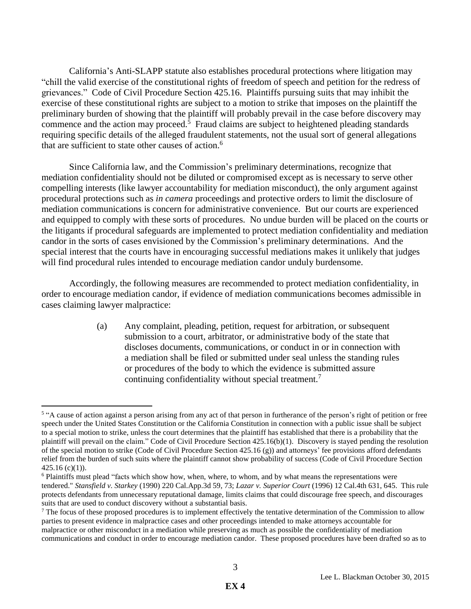California's Anti-SLAPP statute also establishes procedural protections where litigation may "chill the valid exercise of the constitutional rights of freedom of speech and petition for the redress of grievances." Code of Civil Procedure Section 425.16. Plaintiffs pursuing suits that may inhibit the exercise of these constitutional rights are subject to a motion to strike that imposes on the plaintiff the preliminary burden of showing that the plaintiff will probably prevail in the case before discovery may commence and the action may proceed.<sup>5</sup> Fraud claims are subject to heightened pleading standards requiring specific details of the alleged fraudulent statements, not the usual sort of general allegations that are sufficient to state other causes of action.<sup>6</sup>

 Since California law, and the Commission's preliminary determinations, recognize that mediation confidentiality should not be diluted or compromised except as is necessary to serve other compelling interests (like lawyer accountability for mediation misconduct), the only argument against procedural protections such as *in camera* proceedings and protective orders to limit the disclosure of mediation communications is concern for administrative convenience. But our courts are experienced and equipped to comply with these sorts of procedures. No undue burden will be placed on the courts or the litigants if procedural safeguards are implemented to protect mediation confidentiality and mediation candor in the sorts of cases envisioned by the Commission's preliminary determinations. And the special interest that the courts have in encouraging successful mediations makes it unlikely that judges will find procedural rules intended to encourage mediation candor unduly burdensome.

 Accordingly, the following measures are recommended to protect mediation confidentiality, in order to encourage mediation candor, if evidence of mediation communications becomes admissible in cases claiming lawyer malpractice:

> (a) Any complaint, pleading, petition, request for arbitration, or subsequent submission to a court, arbitrator, or administrative body of the state that discloses documents, communications, or conduct in or in connection with a mediation shall be filed or submitted under seal unless the standing rules or procedures of the body to which the evidence is submitted assure continuing confidentiality without special treatment.<sup>7</sup>

<sup>&</sup>lt;sup>5</sup> "A cause of action against a person arising from any act of that person in furtherance of the person's right of petition or free speech under the United States Constitution or the California Constitution in connection with a public issue shall be subject to a special motion to strike, unless the court determines that the plaintiff has established that there is a probability that the plaintiff will prevail on the claim." Code of Civil Procedure Section 425.16(b)(1). Discovery is stayed pending the resolution of the special motion to strike (Code of Civil Procedure Section 425.16  $(g)$ ) and attorneys' fee provisions afford defendants relief from the burden of such suits where the plaintiff cannot show probability of success (Code of Civil Procedure Section 425.16 (c)(1)).

<sup>6</sup> Plaintiffs must plead "facts which show how, when, where, to whom, and by what means the representations were tendered." *Stansfield v. Starkey* (1990) 220 Cal.App.3d 59, 73; *Lazar v. Superior Court* (1996) 12 Cal.4th 631, 645. This rule protects defendants from unnecessary reputational damage, limits claims that could discourage free speech, and discourages suits that are used to conduct discovery without a substantial basis.

 $7$  The focus of these proposed procedures is to implement effectively the tentative determination of the Commission to allow parties to present evidence in malpractice cases and other proceedings intended to make attorneys accountable for malpractice or other misconduct in a mediation while preserving as much as possible the confidentiality of mediation communications and conduct in order to encourage mediation candor. These proposed procedures have been drafted so as to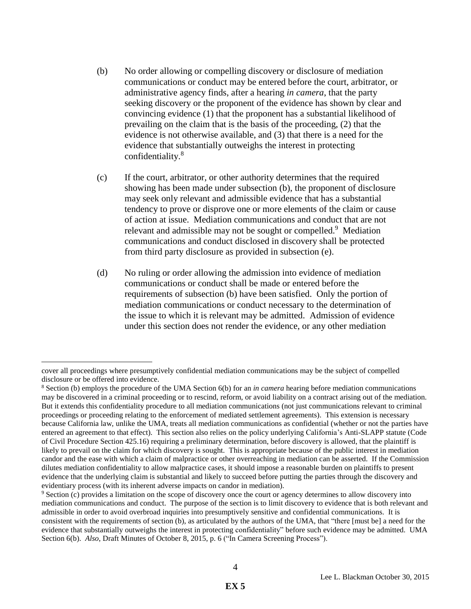- (b) No order allowing or compelling discovery or disclosure of mediation communications or conduct may be entered before the court, arbitrator, or administrative agency finds, after a hearing *in camera*, that the party seeking discovery or the proponent of the evidence has shown by clear and convincing evidence (1) that the proponent has a substantial likelihood of prevailing on the claim that is the basis of the proceeding, (2) that the evidence is not otherwise available, and (3) that there is a need for the evidence that substantially outweighs the interest in protecting confidentiality.<sup>8</sup>
- (c) If the court, arbitrator, or other authority determines that the required showing has been made under subsection (b), the proponent of disclosure may seek only relevant and admissible evidence that has a substantial tendency to prove or disprove one or more elements of the claim or cause of action at issue. Mediation communications and conduct that are not relevant and admissible may not be sought or compelled.<sup>9</sup> Mediation communications and conduct disclosed in discovery shall be protected from third party disclosure as provided in subsection (e).
- (d) No ruling or order allowing the admission into evidence of mediation communications or conduct shall be made or entered before the requirements of subsection (b) have been satisfied. Only the portion of mediation communications or conduct necessary to the determination of the issue to which it is relevant may be admitted. Admission of evidence under this section does not render the evidence, or any other mediation

cover all proceedings where presumptively confidential mediation communications may be the subject of compelled disclosure or be offered into evidence.

<sup>8</sup> Section (b) employs the procedure of the UMA Section 6(b) for an *in camera* hearing before mediation communications may be discovered in a criminal proceeding or to rescind, reform, or avoid liability on a contract arising out of the mediation. But it extends this confidentiality procedure to all mediation communications (not just communications relevant to criminal proceedings or proceeding relating to the enforcement of mediated settlement agreements). This extension is necessary because California law, unlike the UMA, treats all mediation communications as confidential (whether or not the parties have entered an agreement to that effect). This section also relies on the policy underlying California's Anti-SLAPP statute (Code of Civil Procedure Section 425.16) requiring a preliminary determination, before discovery is allowed, that the plaintiff is likely to prevail on the claim for which discovery is sought. This is appropriate because of the public interest in mediation candor and the ease with which a claim of malpractice or other overreaching in mediation can be asserted. If the Commission dilutes mediation confidentiality to allow malpractice cases, it should impose a reasonable burden on plaintiffs to present evidence that the underlying claim is substantial and likely to succeed before putting the parties through the discovery and evidentiary process (with its inherent adverse impacts on candor in mediation).

<sup>9</sup> Section (c) provides a limitation on the scope of discovery once the court or agency determines to allow discovery into mediation communications and conduct. The purpose of the section is to limit discovery to evidence that is both relevant and admissible in order to avoid overbroad inquiries into presumptively sensitive and confidential communications. It is consistent with the requirements of section (b), as articulated by the authors of the UMA, that "there [must be] a need for the evidence that substantially outweighs the interest in protecting confidentiality" before such evidence may be admitted. UMA Section 6(b). *Also*, Draft Minutes of October 8, 2015, p. 6 ("In Camera Screening Process").